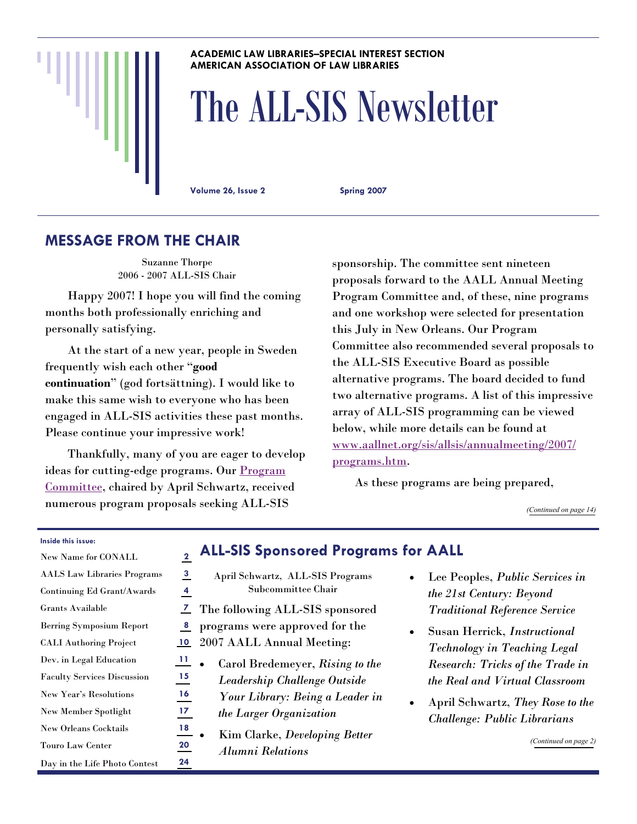#### **ACADEMIC LAW LIBRARIES–SPECIAL INTEREST SECTION AMERICAN ASSOCIATION OF LAW LIBRARIES**

# The ALL-SIS Newsletter

**Volume 26, Issue 2 Spring 2007** 

# **MESSAGE FROM THE CHAIR**

Suzanne Thorpe 2006 - 2007 ALL-SIS Chair

 Happy 2007! I hope you will find the coming months both professionally enriching and personally satisfying.

 At the start of a new year, people in Sweden frequently wish each other "**good continuation**" (god fortsättning). I would like to make this same wish to everyone who has been engaged in ALL-SIS activities these past months. Please continue your impressive work!

 Thankfully, many of you are eager to develop ideas for cutting-edge programs. Our [Program](http://www.aallnet.org/sis/allsis/directories/index.asp#programs)  [Committee](http://www.aallnet.org/sis/allsis/directories/index.asp#programs), chaired by April Schwartz, received numerous program proposals seeking ALL-SIS

sponsorship. The committee sent nineteen proposals forward to the AALL Annual Meeting Program Committee and, of these, nine programs and one workshop were selected for presentation this July in New Orleans. Our Program Committee also recommended several proposals to the ALL-SIS Executive Board as possible alternative programs. The board decided to fund two alternative programs. A list of this impressive array of ALL-SIS programming can be viewed below, while more details can be found at [www.aallnet.org/sis/allsis/annualmeeting/2007/](http://www.aallnet.org/sis/allsis/annualmeeting/2007/programs.htm) [programs.htm](http://www.aallnet.org/sis/allsis/annualmeeting/2007/programs.htm).

As these programs are being prepared,

*([Continued on page 14\)](#page-13-0)* 

#### **Inside this issue:**

| <b>New Name for CONALL</b>         | $\mathbf 2$ |
|------------------------------------|-------------|
| <b>AALS</b> Law Libraries Programs | 3           |
| Continuing Ed Grant/Awards         | 4           |
| Grants Available                   | 7           |
| <b>Berring Symposium Report</b>    | 8           |
| <b>CALI Authoring Project</b>      | 10          |
| Dev. in Legal Education            | 11          |
| <b>Faculty Services Discussion</b> | 15          |
| <b>New Year's Resolutions</b>      | 16          |
| <b>New Member Spotlight</b>        | 17          |
| <b>New Orleans Cocktails</b>       | 18          |
| <b>Touro Law Center</b>            | 20          |
| Day in the Life Photo Contest      | 24          |

|   | <b>ALL-SIS Sponsored Programs for AALL</b> |                |
|---|--------------------------------------------|----------------|
| 3 | April Schwartz, ALL-SIS Programs           | Lee Pe         |
|   | Subcommittee Chair                         | the $21$ st    |
| 7 | The following ALL-SIS sponsored            | Traditi        |
| 8 | programs were approved for the             | Susan          |
| 0 | 2007 AALL Annual Meeting:                  | <b>Techno</b>  |
| 1 | Carol Bredemeyer, Rising to the            | Researd        |
| 5 | Leadership Challenge Outside               | the Rea        |
| 6 | Your Library: Being a Leader in            | April S        |
| 7 | the Larger Organization                    | <i>Challer</i> |
| 8 | Kim Clarke, Developing Better              |                |
| 0 | <b>Alumni Relations</b>                    |                |
| A |                                            |                |

- Lee Peoples, *Public Services in the 21st Century: Beyond Traditional Reference Service*
- Susan Herrick, *Instructional Technology in Teaching Legal Research: Tricks of the Trade in the Real and Virtual Classroom*
- April Schwartz, *They Rose to the Challenge: Public Librarians*

*([Continued on page 2\)](#page-1-0)*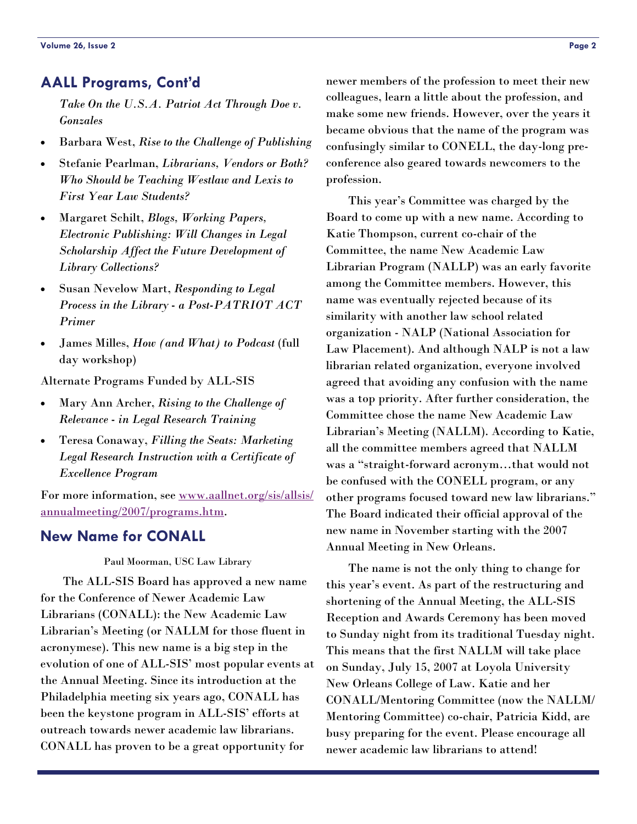# <span id="page-1-0"></span>**AALL Programs, Cont'd**

*Take On the U.S.A. Patriot Act Through Doe v. Gonzales*

- <span id="page-1-1"></span>• Barbara West, *Rise to the Challenge of Publishing*
- Stefanie Pearlman, *Librarians, Vendors or Both? Who Should be Teaching Westlaw and Lexis to First Year Law Students?*
- Margaret Schilt, *Blogs, Working Papers, Electronic Publishing: Will Changes in Legal Scholarship Affect the Future Development of Library Collections?*
- Susan Nevelow Mart, *Responding to Legal Process in the Library - a Post-PATRIOT ACT Primer*
- James Milles, *How (and What) to Podcast* (full day workshop)

Alternate Programs Funded by ALL-SIS

- Mary Ann Archer, *Rising to the Challenge of Relevance - in Legal Research Training*
- Teresa Conaway, *Filling the Seats: Marketing Legal Research Instruction with a Certificate of Excellence Program*

For more information, see [www.aallnet.org/sis/allsis/](http://www.aallnet.org/sis/allsis/annualmeeting/2007/programs.htm) [annualmeeting/2007/programs.htm](http://www.aallnet.org/sis/allsis/annualmeeting/2007/programs.htm).

# **New Name for CONALL**

#### Paul Moorman, USC Law Library

 The ALL-SIS Board has approved a new name for the Conference of Newer Academic Law Librarians (CONALL): the New Academic Law Librarian's Meeting (or NALLM for those fluent in acronymese). This new name is a big step in the evolution of one of ALL-SIS' most popular events at the Annual Meeting. Since its introduction at the Philadelphia meeting six years ago, CONALL has been the keystone program in ALL-SIS' efforts at outreach towards newer academic law librarians. CONALL has proven to be a great opportunity for

newer members of the profession to meet their new colleagues, learn a little about the profession, and make some new friends. However, over the years it became obvious that the name of the program was confusingly similar to CONELL, the day-long preconference also geared towards newcomers to the profession.

 This year's Committee was charged by the Board to come up with a new name. According to Katie Thompson, current co-chair of the Committee, the name New Academic Law Librarian Program (NALLP) was an early favorite among the Committee members. However, this name was eventually rejected because of its similarity with another law school related organization - NALP (National Association for Law Placement). And although NALP is not a law librarian related organization, everyone involved agreed that avoiding any confusion with the name was a top priority. After further consideration, the Committee chose the name New Academic Law Librarian's Meeting (NALLM). According to Katie, all the committee members agreed that NALLM was a "straight-forward acronym…that would not be confused with the CONELL program, or any other programs focused toward new law librarians." The Board indicated their official approval of the new name in November starting with the 2007 Annual Meeting in New Orleans.

 The name is not the only thing to change for this year's event. As part of the restructuring and shortening of the Annual Meeting, the ALL-SIS Reception and Awards Ceremony has been moved to Sunday night from its traditional Tuesday night. This means that the first NALLM will take place on Sunday, July 15, 2007 at Loyola University New Orleans College of Law. Katie and her CONALL/Mentoring Committee (now the NALLM/ Mentoring Committee) co-chair, Patricia Kidd, are busy preparing for the event. Please encourage all newer academic law librarians to attend!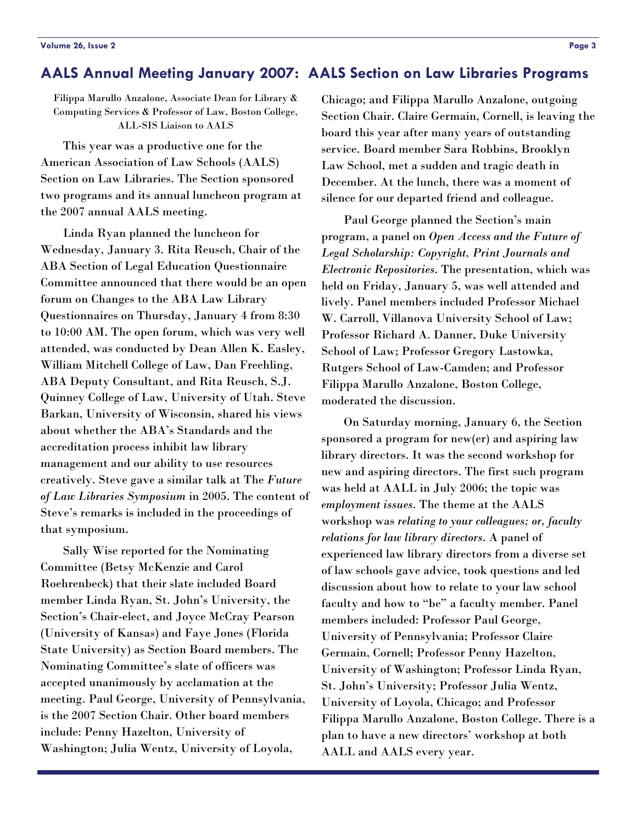# <span id="page-2-0"></span>**AALS Annual Meeting January 2007: AALS Section on Law Libraries Programs**

Filippa Marullo Anzalone, Associate Dean for Library & Computing Services & Professor of Law, Boston College, ALL-SIS Liaison to AALS

 This year was a productive one for the American Association of Law Schools (AALS) Section on Law Libraries. The Section sponsored two programs and its annual luncheon program at the 2007 annual AALS meeting.

 Linda Ryan planned the luncheon for Wednesday, January 3. Rita Reusch, Chair of the ABA Section of Legal Education Questionnaire Committee announced that there would be an open forum on Changes to the ABA Law Library Questionnaires on Thursday, January 4 from 8:30 to 10:00 AM. The open forum, which was very well attended, was conducted by Dean Allen K. Easley, William Mitchell College of Law, Dan Freehling, ABA Deputy Consultant, and Rita Reusch, S.J. Quinney College of Law, University of Utah. Steve Barkan, University of Wisconsin, shared his views about whether the ABA's Standards and the accreditation process inhibit law library management and our ability to use resources creatively. Steve gave a similar talk at The *Future of Law Libraries Symposium* in 2005. The content of Steve's remarks is included in the proceedings of that symposium.

 Sally Wise reported for the Nominating Committee (Betsy McKenzie and Carol Roehrenbeck) that their slate included Board member Linda Ryan, St. John's University, the Section's Chair-elect, and Joyce McCray Pearson (University of Kansas) and Faye Jones (Florida State University) as Section Board members. The Nominating Committee's slate of officers was accepted unanimously by acclamation at the meeting. Paul George, University of Pennsylvania, is the 2007 Section Chair. Other board members include: Penny Hazelton, University of Washington; Julia Wentz, University of Loyola,

Chicago; and Filippa Marullo Anzalone, outgoing Section Chair. Claire Germain, Cornell, is leaving the board this year after many years of outstanding service. Board member Sara Robbins, Brooklyn Law School, met a sudden and tragic death in December. At the lunch, there was a moment of silence for our departed friend and colleague.

 Paul George planned the Section's main program, a panel on *Open Access and the Future of Legal Scholarship: Copyright, Print Journals and Electronic Repositories*. The presentation, which was held on Friday, January 5, was well attended and lively. Panel members included Professor Michael W. Carroll, Villanova University School of Law; Professor Richard A. Danner, Duke University School of Law; Professor Gregory Lastowka, Rutgers School of Law-Camden; and Professor Filippa Marullo Anzalone, Boston College, moderated the discussion.

 On Saturday morning, January 6, the Section sponsored a program for new(er) and aspiring law library directors. It was the second workshop for new and aspiring directors. The first such program was held at AALL in July 2006; the topic was *employment issues*. The theme at the AALS workshop was *relating to your colleagues; or, faculty relations for law library directors*. A panel of experienced law library directors from a diverse set of law schools gave advice, took questions and led discussion about how to relate to your law school faculty and how to "be" a faculty member. Panel members included: Professor Paul George, University of Pennsylvania; Professor Claire Germain, Cornell; Professor Penny Hazelton, University of Washington; Professor Linda Ryan, St. John's University; Professor Julia Wentz, University of Loyola, Chicago; and Professor Filippa Marullo Anzalone, Boston College. There is a plan to have a new directors' workshop at both AALL and AALS every year.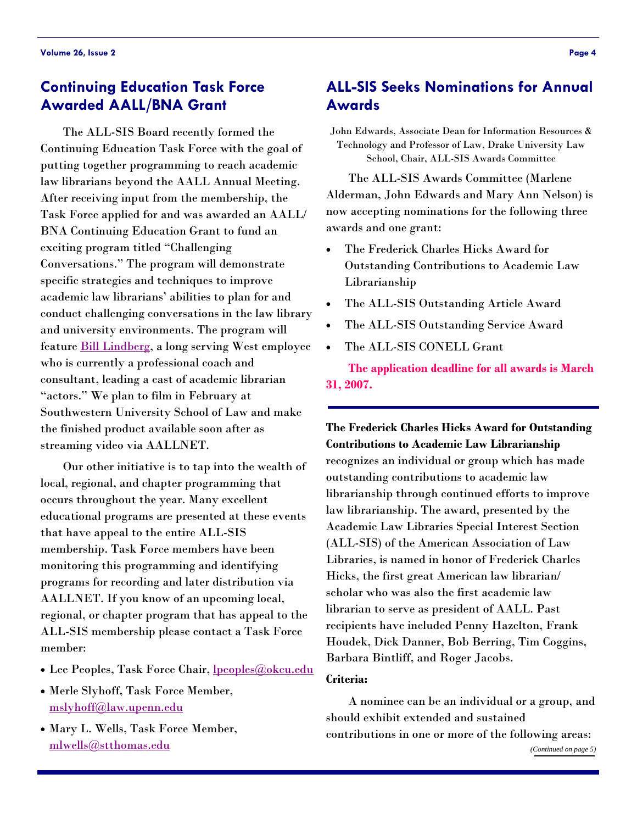# <span id="page-3-0"></span>**Continuing Education Task Force Awarded AALL/BNA Grant**

 The ALL-SIS Board recently formed the Continuing Education Task Force with the goal of putting together programming to reach academic law librarians beyond the AALL Annual Meeting. After receiving input from the membership, the Task Force applied for and was awarded an AALL/ BNA Continuing Education Grant to fund an exciting program titled "Challenging Conversations." The program will demonstrate specific strategies and techniques to improve academic law librarians' abilities to plan for and conduct challenging conversations in the law library and university environments. The program will feature **[Bill Lindberg](http://www.ashgrovegroup.com/)**, a long serving West employee who is currently a professional coach and consultant, leading a cast of academic librarian "actors." We plan to film in February at Southwestern University School of Law and make the finished product available soon after as streaming video via AALLNET.

 Our other initiative is to tap into the wealth of local, regional, and chapter programming that occurs throughout the year. Many excellent educational programs are presented at these events that have appeal to the entire ALL-SIS membership. Task Force members have been monitoring this programming and identifying programs for recording and later distribution via AALLNET. If you know of an upcoming local, regional, or chapter program that has appeal to the ALL-SIS membership please contact a Task Force member:

- Lee Peoples, Task Force Chair, <u>[lpeoples@okcu.edu](mailto:lpeoples@okcu.edu)</u>
- Merle Slyhoff, Task Force Member, [mslyhoff@law.upenn.edu](mailto:mslyhoff@law.upenn.edu)
- Mary L. Wells, Task Force Member, [mlwells@stthomas.edu](mailto:mlwells@stthomas.edu)

# **ALL-SIS Seeks Nominations for Annual Awards**

John Edwards, Associate Dean for Information Resources & Technology and Professor of Law, Drake University Law School, Chair, ALL-SIS Awards Committee

 The ALL-SIS Awards Committee (Marlene Alderman, John Edwards and Mary Ann Nelson) is now accepting nominations for the following three awards and one grant:

- The Frederick Charles Hicks Award for Outstanding Contributions to Academic Law Librarianship
- The ALL-SIS Outstanding Article Award
- The ALL-SIS Outstanding Service Award
- The ALL-SIS CONELL Grant

**The application deadline for all awards is March 31, 2007.** 

**The Frederick Charles Hicks Award for Outstanding Contributions to Academic Law Librarianship** recognizes an individual or group which has made outstanding contributions to academic law librarianship through continued efforts to improve law librarianship. The award, presented by the Academic Law Libraries Special Interest Section (ALL-SIS) of the American Association of Law Libraries, is named in honor of Frederick Charles Hicks, the first great American law librarian/ scholar who was also the first academic law librarian to serve as president of AALL. Past recipients have included Penny Hazelton, Frank Houdek, Dick Danner, Bob Berring, Tim Coggins, Barbara Bintliff, and Roger Jacobs.

#### **Criteria:**

 A nominee can be an individual or a group, and should exhibit extended and sustained contributions in one or more of the following areas: *([Continued on page 5\)](#page-4-0)*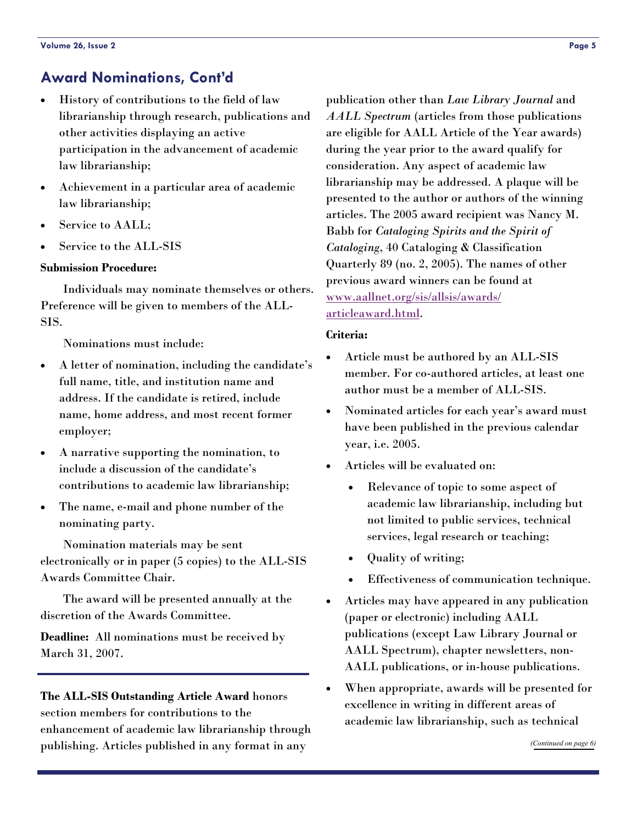# <span id="page-4-0"></span>**Award Nominations, Cont'd**

- History of contributions to the field of law librarianship through research, publications and other activities displaying an active participation in the advancement of academic law librarianship;
- Achievement in a particular area of academic law librarianship;
- Service to AALL:
- Service to the ALL-SIS

#### **Submission Procedure:**

 Individuals may nominate themselves or others. Preference will be given to members of the ALL-SIS.

Nominations must include:

- A letter of nomination, including the candidate's full name, title, and institution name and address. If the candidate is retired, include name, home address, and most recent former employer;
- A narrative supporting the nomination, to include a discussion of the candidate's contributions to academic law librarianship;
- The name, e-mail and phone number of the nominating party.

 Nomination materials may be sent electronically or in paper (5 copies) to the ALL-SIS Awards Committee Chair.

 The award will be presented annually at the discretion of the Awards Committee.

**Deadline:** All nominations must be received by March 31, 2007.

# **The ALL-SIS Outstanding Article Award** honors section members for contributions to the enhancement of academic law librarianship through publishing. Articles published in any format in any

publication other than *Law Library Journal* and *AALL Spectrum* (articles from those publications are eligible for AALL Article of the Year awards) during the year prior to the award qualify for consideration. Any aspect of academic law librarianship may be addressed. A plaque will be presented to the author or authors of the winning articles. The 2005 award recipient was Nancy M. Babb for *Cataloging Spirits and the Spirit of Cataloging*, 40 Cataloging & Classification Quarterly 89 (no. 2, 2005). The names of other previous award winners can be found at [www.aallnet.org/sis/allsis/awards/](http://www.aallnet.org/sis/allsis/awards/articleaward.html) [articleaward.html](http://www.aallnet.org/sis/allsis/awards/articleaward.html).

#### **Criteria:**

- Article must be authored by an ALL-SIS member. For co-authored articles, at least one author must be a member of ALL-SIS.
- Nominated articles for each year's award must have been published in the previous calendar year, i.e. 2005.
- Articles will be evaluated on:
	- Relevance of topic to some aspect of academic law librarianship, including but not limited to public services, technical services, legal research or teaching;
	- Quality of writing;
	- Effectiveness of communication technique.
- Articles may have appeared in any publication (paper or electronic) including AALL publications (except Law Library Journal or AALL Spectrum), chapter newsletters, non-AALL publications, or in-house publications.
- When appropriate, awards will be presented for excellence in writing in different areas of academic law librarianship, such as technical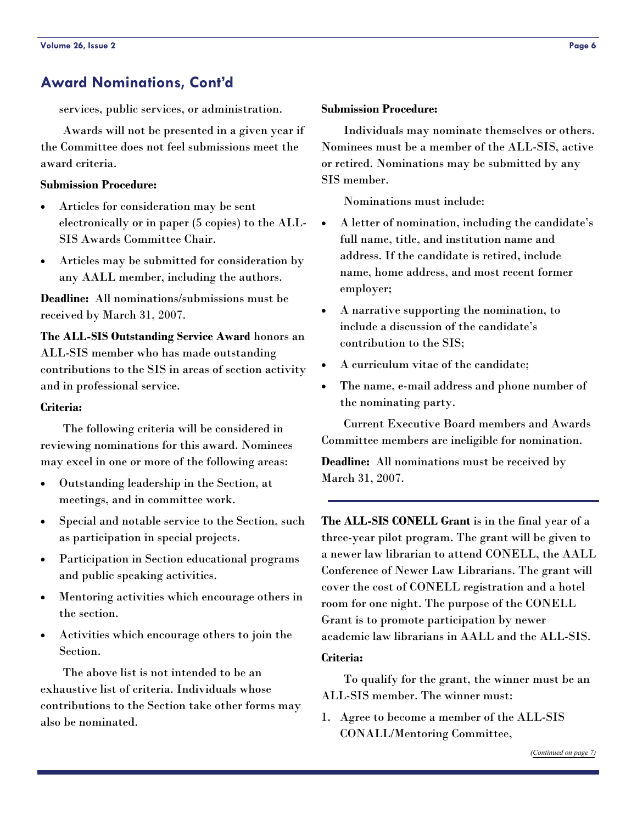# <span id="page-5-0"></span>**Award Nominations, Cont'd**

services, public services, or administration.

 Awards will not be presented in a given year if the Committee does not feel submissions meet the award criteria.

#### **Submission Procedure:**

- Articles for consideration may be sent electronically or in paper (5 copies) to the ALL-SIS Awards Committee Chair.
- Articles may be submitted for consideration by any AALL member, including the authors.

**Deadline:** All nominations/submissions must be received by March 31, 2007.

**The ALL-SIS Outstanding Service Award** honors an ALL-SIS member who has made outstanding contributions to the SIS in areas of section activity and in professional service.

#### **Criteria:**

 The following criteria will be considered in reviewing nominations for this award. Nominees may excel in one or more of the following areas:

- Outstanding leadership in the Section, at meetings, and in committee work.
- Special and notable service to the Section, such as participation in special projects.
- Participation in Section educational programs and public speaking activities.
- Mentoring activities which encourage others in the section.
- Activities which encourage others to join the Section.

 The above list is not intended to be an exhaustive list of criteria. Individuals whose contributions to the Section take other forms may also be nominated.

#### **Submission Procedure:**

 Individuals may nominate themselves or others. Nominees must be a member of the ALL-SIS, active or retired. Nominations may be submitted by any SIS member.

Nominations must include:

- A letter of nomination, including the candidate's full name, title, and institution name and address. If the candidate is retired, include name, home address, and most recent former employer;
- A narrative supporting the nomination, to include a discussion of the candidate's contribution to the SIS;
- A curriculum vitae of the candidate;
- The name, e-mail address and phone number of the nominating party.

 Current Executive Board members and Awards Committee members are ineligible for nomination.

**Deadline:** All nominations must be received by March 31, 2007.

**The ALL-SIS CONELL Grant** is in the final year of a three-year pilot program. The grant will be given to a newer law librarian to attend CONELL, the AALL Conference of Newer Law Librarians. The grant will cover the cost of CONELL registration and a hotel room for one night. The purpose of the CONELL Grant is to promote participation by newer academic law librarians in AALL and the ALL-SIS.

#### **Criteria:**

 To qualify for the grant, the winner must be an ALL-SIS member. The winner must:

1. Agree to become a member of the ALL-SIS CONALL/Mentoring Committee,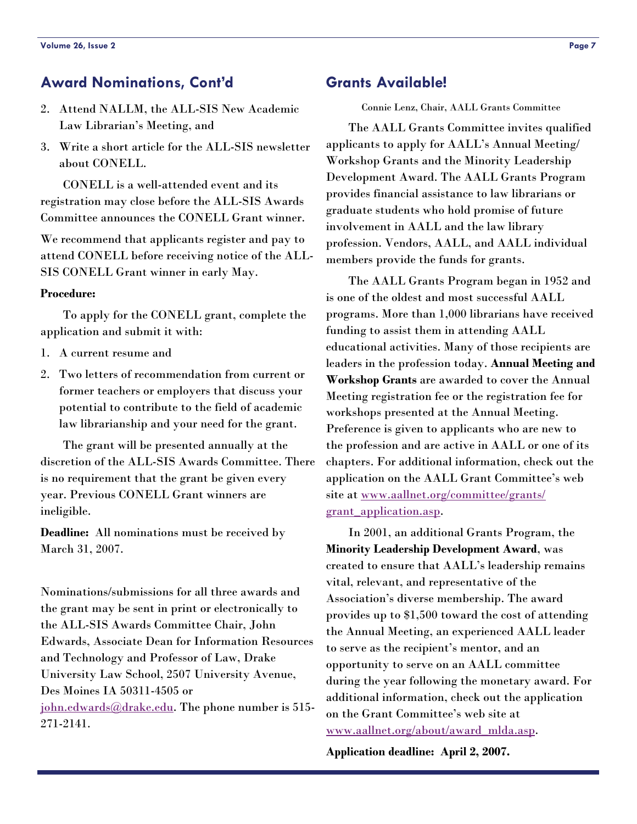# <span id="page-6-0"></span>**Award Nominations, Cont'd**

- 2. Attend NALLM, the ALL-SIS New Academic Law Librarian's Meeting, and
- 3. Write a short article for the ALL-SIS newsletter about CONELL.

 CONELL is a well-attended event and its registration may close before the ALL-SIS Awards Committee announces the CONELL Grant winner.

We recommend that applicants register and pay to attend CONELL before receiving notice of the ALL-SIS CONELL Grant winner in early May.

#### **Procedure:**

 To apply for the CONELL grant, complete the application and submit it with:

- 1. A current resume and
- 2. Two letters of recommendation from current or former teachers or employers that discuss your potential to contribute to the field of academic law librarianship and your need for the grant.

 The grant will be presented annually at the discretion of the ALL-SIS Awards Committee. There is no requirement that the grant be given every year. Previous CONELL Grant winners are ineligible.

**Deadline:** All nominations must be received by March 31, 2007.

Nominations/submissions for all three awards and the grant may be sent in print or electronically to the ALL-SIS Awards Committee Chair, John Edwards, Associate Dean for Information Resources and Technology and Professor of Law, Drake University Law School, 2507 University Avenue, Des Moines IA 50311-4505 or [john.edwards@drake.edu](mailto:john.edwards@drake.edu). The phone number is 515- 271-2141.

# **Grants Available!**

Connie Lenz, Chair, AALL Grants Committee

 The AALL Grants Committee invites qualified applicants to apply for AALL's Annual Meeting/ Workshop Grants and the Minority Leadership Development Award. The AALL Grants Program provides financial assistance to law librarians or graduate students who hold promise of future involvement in AALL and the law library profession. Vendors, AALL, and AALL individual members provide the funds for grants.

 The AALL Grants Program began in 1952 and is one of the oldest and most successful AALL programs. More than 1,000 librarians have received funding to assist them in attending AALL educational activities. Many of those recipients are leaders in the profession today. **Annual Meeting and Workshop Grants** are awarded to cover the Annual Meeting registration fee or the registration fee for workshops presented at the Annual Meeting. Preference is given to applicants who are new to the profession and are active in AALL or one of its chapters. For additional information, check out the application on the AALL Grant Committee's web site at [www.aallnet.org/committee/grants/](http://www.aallnet.org/committee/grants/grant_application.asp) [grant\\_application.asp](http://www.aallnet.org/committee/grants/grant_application.asp).

 In 2001, an additional Grants Program, the **Minority Leadership Development Award**, was created to ensure that AALL's leadership remains vital, relevant, and representative of the Association's diverse membership. The award provides up to \$1,500 toward the cost of attending the Annual Meeting, an experienced AALL leader to serve as the recipient's mentor, and an opportunity to serve on an AALL committee during the year following the monetary award. For additional information, check out the application on the Grant Committee's web site at [www.aallnet.org/about/award\\_mlda.asp](http://www.aallnet.org/about/award_mlda.asp).

**Application deadline: April 2, 2007.**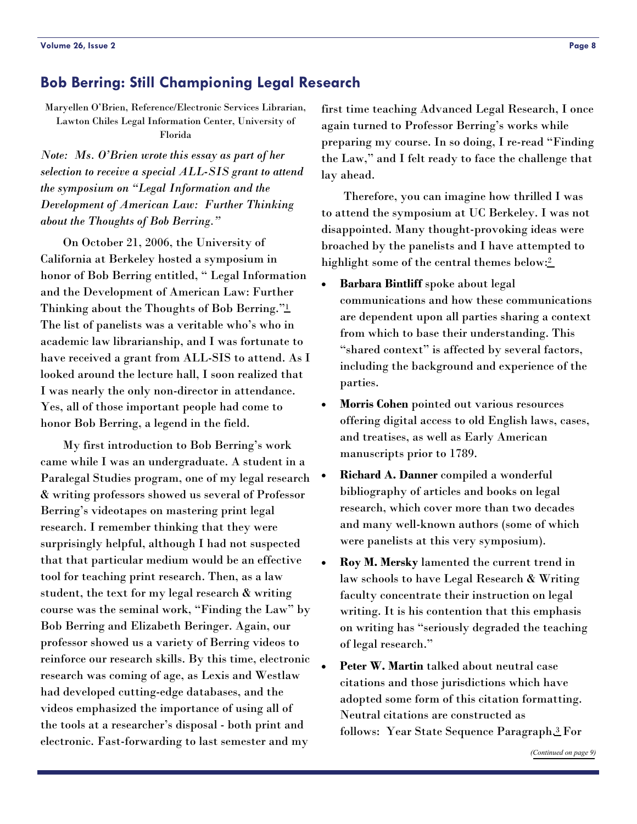# <span id="page-7-0"></span>**Bob Berring: Still Championing Legal Research**

Maryellen O'Brien, Reference/Electronic Services Librarian, Lawton Chiles Legal Information Center, University of Florida

*Note: Ms. O'Brien wrote this essay as part of her selection to receive a special ALL-SIS grant to attend the symposium on "Legal Information and the Development of American Law: Further Thinking about the Thoughts of Bob Berring."* 

 On October 21, 2006, the University of California at Berkeley hosted a symposium in honor of Bob Berring entitled, " Legal Information and the Development of American Law: Further Thinking about the Thoughts of Bob Berring.["1](#page-9-0) The list of panelists was a veritable who's who in academic law librarianship, and I was fortunate to have received a grant from ALL-SIS to attend. As I looked around the lecture hall, I soon realized that I was nearly the only non-director in attendance. Yes, all of those important people had come to honor Bob Berring, a legend in the field.

 My first introduction to Bob Berring's work came while I was an undergraduate. A student in a Paralegal Studies program, one of my legal research & writing professors showed us several of Professor Berring's videotapes on mastering print legal research. I remember thinking that they were surprisingly helpful, although I had not suspected that that particular medium would be an effective tool for teaching print research. Then, as a law student, the text for my legal research & writing course was the seminal work, "Finding the Law" by Bob Berring and Elizabeth Beringer. Again, our professor showed us a variety of Berring videos to reinforce our research skills. By this time, electronic research was coming of age, as Lexis and Westlaw had developed cutting-edge databases, and the videos emphasized the importance of using all of the tools at a researcher's disposal - both print and electronic. Fast-forwarding to last semester and my

first time teaching Advanced Legal Research, I once again turned to Professor Berring's works while preparing my course. In so doing, I re-read "Finding the Law," and I felt ready to face the challenge that lay ahead.

 Therefore, you can imagine how thrilled I was to attend the symposium at UC Berkeley. I was not disappointed. Many thought-provoking ideas were broached by the panelists and I have attempted to highlight some of the central themes below:<sup>2</sup>

- **Barbara Bintliff** spoke about legal communications and how these communications are dependent upon all parties sharing a context from which to base their understanding. This "shared context" is affected by several factors, including the background and experience of the parties.
- **Morris Cohen** pointed out various resources offering digital access to old English laws, cases, and treatises, as well as Early American manuscripts prior to 1789.
- **Richard A. Danner** compiled a wonderful bibliography of articles and books on legal research, which cover more than two decades and many well-known authors (some of which were panelists at this very symposium).
- **Roy M. Mersky** lamented the current trend in law schools to have Legal Research & Writing faculty concentrate their instruction on legal writing. It is his contention that this emphasis on writing has "seriously degraded the teaching of legal research."
- **Peter W. Martin** talked about neutral case citations and those jurisdictions which have adopted some form of this citation formatting. Neutral citations are constructed as follows: Year State Sequence Paragraph[.3](#page-9-0) For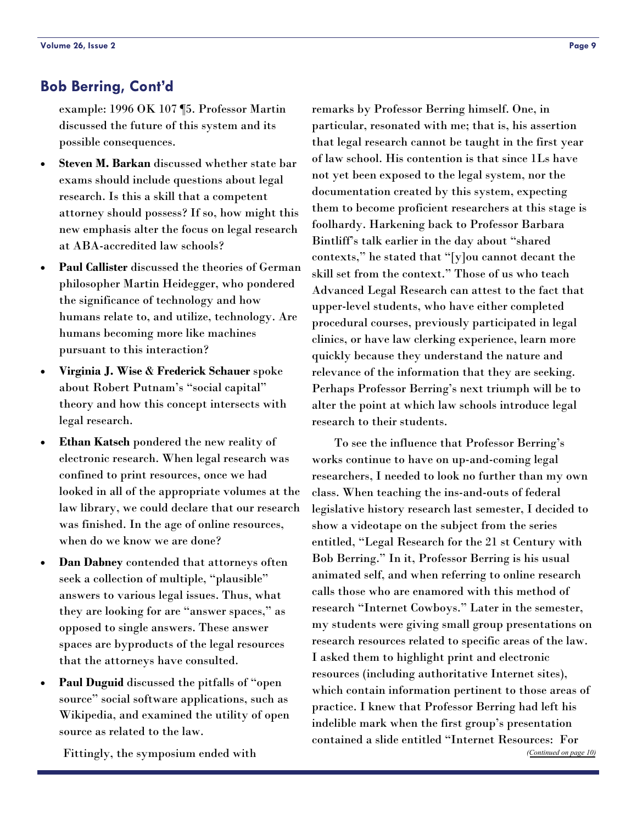# <span id="page-8-0"></span>**Bob Berring, Cont'd**

example: 1996 OK 107 ¶5. Professor Martin discussed the future of this system and its possible consequences.

- Steven M. Barkan discussed whether state bar exams should include questions about legal research. Is this a skill that a competent attorney should possess? If so, how might this new emphasis alter the focus on legal research at ABA-accredited law schools?
- **Paul Callister** discussed the theories of German philosopher Martin Heidegger, who pondered the significance of technology and how humans relate to, and utilize, technology. Are humans becoming more like machines pursuant to this interaction?
- **Virginia J. Wise** & **Frederick Schauer** spoke about Robert Putnam's "social capital" theory and how this concept intersects with legal research.
- **Ethan Katsch** pondered the new reality of electronic research. When legal research was confined to print resources, once we had looked in all of the appropriate volumes at the law library, we could declare that our research was finished. In the age of online resources, when do we know we are done?
- **Dan Dabney** contended that attorneys often seek a collection of multiple, "plausible" answers to various legal issues. Thus, what they are looking for are "answer spaces," as opposed to single answers. These answer spaces are byproducts of the legal resources that the attorneys have consulted.
- **Paul Duguid** discussed the pitfalls of "open source" social software applications, such as Wikipedia, and examined the utility of open source as related to the law.

Fittingly, the symposium ended with

remarks by Professor Berring himself. One, in particular, resonated with me; that is, his assertion that legal research cannot be taught in the first year of law school. His contention is that since 1Ls have not yet been exposed to the legal system, nor the documentation created by this system, expecting them to become proficient researchers at this stage is foolhardy. Harkening back to Professor Barbara Bintliff's talk earlier in the day about "shared contexts," he stated that "[y]ou cannot decant the skill set from the context." Those of us who teach Advanced Legal Research can attest to the fact that upper-level students, who have either completed procedural courses, previously participated in legal clinics, or have law clerking experience, learn more quickly because they understand the nature and relevance of the information that they are seeking. Perhaps Professor Berring's next triumph will be to alter the point at which law schools introduce legal research to their students.

 To see the influence that Professor Berring's works continue to have on up-and-coming legal researchers, I needed to look no further than my own class. When teaching the ins-and-outs of federal legislative history research last semester, I decided to show a videotape on the subject from the series entitled, "Legal Research for the 21 st Century with Bob Berring." In it, Professor Berring is his usual animated self, and when referring to online research calls those who are enamored with this method of research "Internet Cowboys." Later in the semester, my students were giving small group presentations on research resources related to specific areas of the law. I asked them to highlight print and electronic resources (including authoritative Internet sites), which contain information pertinent to those areas of practice. I knew that Professor Berring had left his indelible mark when the first group's presentation contained a slide entitled "Internet Resources: For *([Continued on page 10\)](#page-9-0)*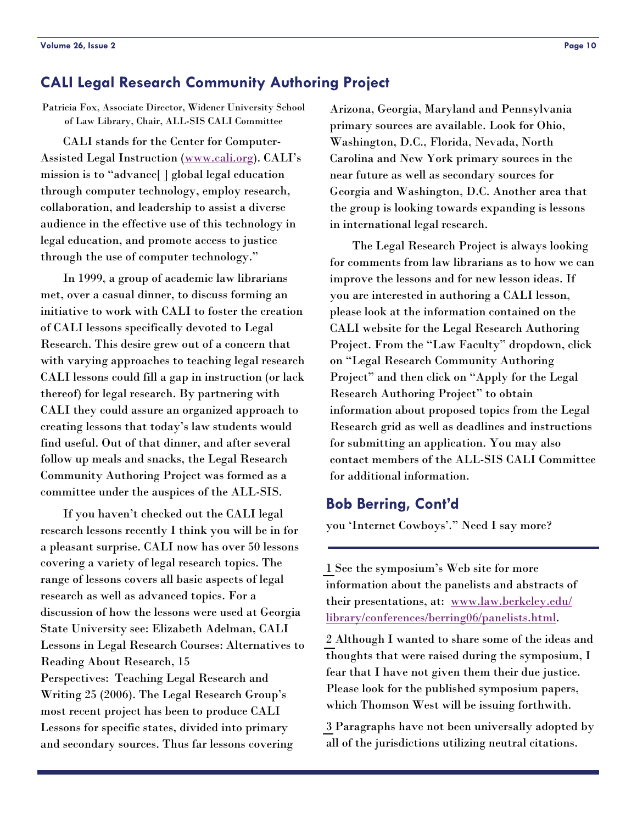# <span id="page-9-0"></span>**CALI Legal Research Community Authoring Project**

Patricia Fox, Associate Director, Widener University School of Law Library, Chair, ALL-SIS CALI Committee

 CALI stands for the Center for Computer-Assisted Legal Instruction ([www.cali.org\). CA](http://www.cali.org)LI's mission is to "advance[ ] global legal education through computer technology, employ research, collaboration, and leadership to assist a diverse audience in the effective use of this technology in legal education, and promote access to justice through the use of computer technology."

 In 1999, a group of academic law librarians met, over a casual dinner, to discuss forming an initiative to work with CALI to foster the creation of CALI lessons specifically devoted to Legal Research. This desire grew out of a concern that with varying approaches to teaching legal research CALI lessons could fill a gap in instruction (or lack thereof) for legal research. By partnering with CALI they could assure an organized approach to creating lessons that today's law students would find useful. Out of that dinner, and after several follow up meals and snacks, the Legal Research Community Authoring Project was formed as a committee under the auspices of the ALL-SIS.

 If you haven't checked out the CALI legal research lessons recently I think you will be in for a pleasant surprise. CALI now has over 50 lessons covering a variety of legal research topics. The range of lessons covers all basic aspects of legal research as well as advanced topics. For a discussion of how the lessons were used at Georgia State University see: Elizabeth Adelman, CALI Lessons in Legal Research Courses: Alternatives to Reading About Research, 15 Perspectives: Teaching Legal Research and Writing 25 (2006). The Legal Research Group's most recent project has been to produce CALI Lessons for specific states, divided into primary and secondary sources. Thus far lessons covering

Arizona, Georgia, Maryland and Pennsylvania primary sources are available. Look for Ohio, Washington, D.C., Florida, Nevada, North Carolina and New York primary sources in the near future as well as secondary sources for Georgia and Washington, D.C. Another area that the group is looking towards expanding is lessons in international legal research.

 The Legal Research Project is always looking for comments from law librarians as to how we can improve the lessons and for new lesson ideas. If you are interested in authoring a CALI lesson, please look at the information contained on the CALI website for the Legal Research Authoring Project. From the "Law Faculty" dropdown, click on "Legal Research Community Authoring Project" and then click on "Apply for the Legal Research Authoring Project" to obtain information about proposed topics from the Legal Research grid as well as deadlines and instructions for submitting an application. You may also contact members of the ALL-SIS CALI Committee for additional information.

# **Bob Berring, Cont'd**

you 'Internet Cowboys'." Need I say more?

[1](#page-7-0) See the symposium's Web site for more information about the panelists and abstracts of their presentations, at: [www.law.berkeley.edu/](http://www.law.berkeley.edu/library/conferences/berring06/panelists.html) [library/conferences/berring06/panelists.html](http://www.law.berkeley.edu/library/conferences/berring06/panelists.html).

[2](#page-7-0) Although I wanted to share some of the ideas and thoughts that were raised during the symposium, I fear that I have not given them their due justice. Please look for the published symposium papers, which Thomson West will be issuing forthwith.

[3](#page-7-0) Paragraphs have not been universally adopted by all of the jurisdictions utilizing neutral citations.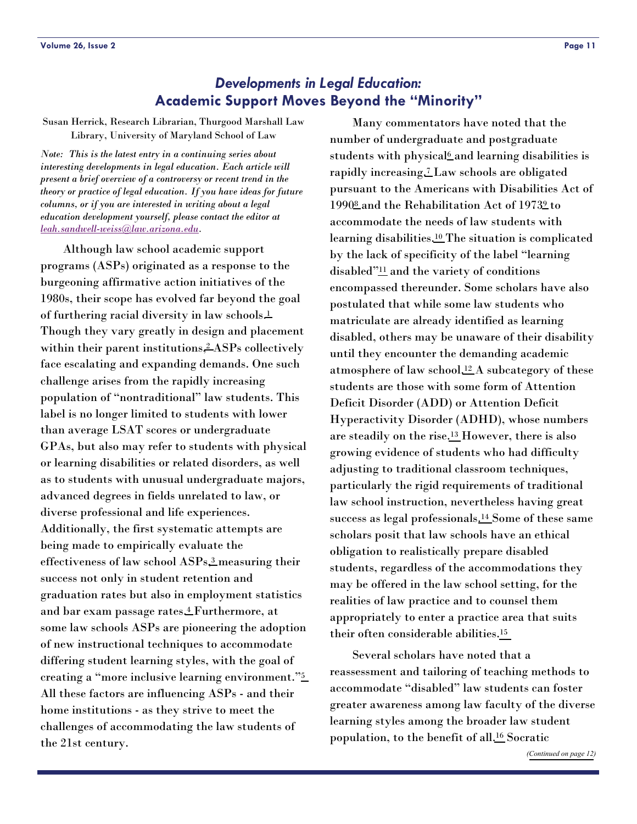# *Developments in Legal Education:* **Academic Support Moves Beyond the "Minority"**

<span id="page-10-0"></span>Susan Herrick, Research Librarian, Thurgood Marshall Law Library, University of Maryland School of Law

*Note: This is the latest entry in a continuing series about interesting developments in legal education. Each article will present a brief overview of a controversy or recent trend in the theory or practice of legal education. If you have ideas for future columns, or if you are interested in writing about a legal education development yourself, please contact the editor at [leah.sandwell-weiss@law.arizona.edu](mailto:leah.sandwell-weiss@law.arizona.edu).* 

 Although law school academic support programs (ASPs) originated as a response to the burgeoning affirmative action initiatives of the 1980s, their scope has evolved far beyond the goal of furthering racial diversity in law schools[.1](#page-11-1) Though they vary greatly in design and placement within their parent institutions,<sup>2</sup> ASPs collectively face escalating and expanding demands. One such challenge arises from the rapidly increasing population of "nontraditional" law students. This label is no longer limited to students with lower than average LSAT scores or undergraduate GPAs, but also may refer to students with physical or learning disabilities or related disorders, as well as to students with unusual undergraduate majors, advanced degrees in fields unrelated to law, or diverse professional and life experiences. Additionally, the first systematic attempts are being made to empirically evaluate the effectiveness of law school ASPs[,3](#page-11-3) measuring their success not only in student retention and graduation rates but also in employment statistics and bar exam passage rates[.4](#page-11-4) Furthermore, at some law schools ASPs are pioneering the adoption of new instructional techniques to accommodate differing student learning styles, with the goal of creating a "more inclusive learning environment.["5](#page-11-0) All these factors are influencing ASPs - and their home institutions - as they strive to meet the challenges of accommodating the law students of the 21st century.

 Many commentators have noted that the number of undergraduate and postgraduate students with physical<sup>6</sup> and learning disabilities is rapidly increasing[.7](#page-11-0) Law schools are obligated pursuant to the Americans with Disabilities Act of 199[08](#page-12-0) and the Rehabilitation Act of 197[39](#page-12-0) to accommodate the needs of law students with learning disabilities[.10](#page-12-0) The situation is complicated by the lack of specificity of the label "learning disabled["11](#page-12-0) and the variety of conditions encompassed thereunder. Some scholars have also postulated that while some law students who matriculate are already identified as learning disabled, others may be unaware of their disability until they encounter the demanding academic atmosphere of law school[.12](#page-12-0) A subcategory of these students are those with some form of Attention Deficit Disorder (ADD) or Attention Deficit Hyperactivity Disorder (ADHD), whose numbers are steadily on the rise[.13](#page-12-0) However, there is also growing evidence of students who had difficulty adjusting to traditional classroom techniques, particularly the rigid requirements of traditional law school instruction, nevertheless having great success as legal professionals[.14](#page-12-0) Some of these same scholars posit that law schools have an ethical obligation to realistically prepare disabled students, regardless of the accommodations they may be offered in the law school setting, for the realities of law practice and to counsel them appropriately to enter a practice area that suits their often considerable abilities[.15](#page-12-0)

 Several scholars have noted that a reassessment and tailoring of teaching methods to accommodate "disabled" law students can foster greater awareness among law faculty of the diverse learning styles among the broader law student population, to the benefit of all[.16](#page-12-0) Socratic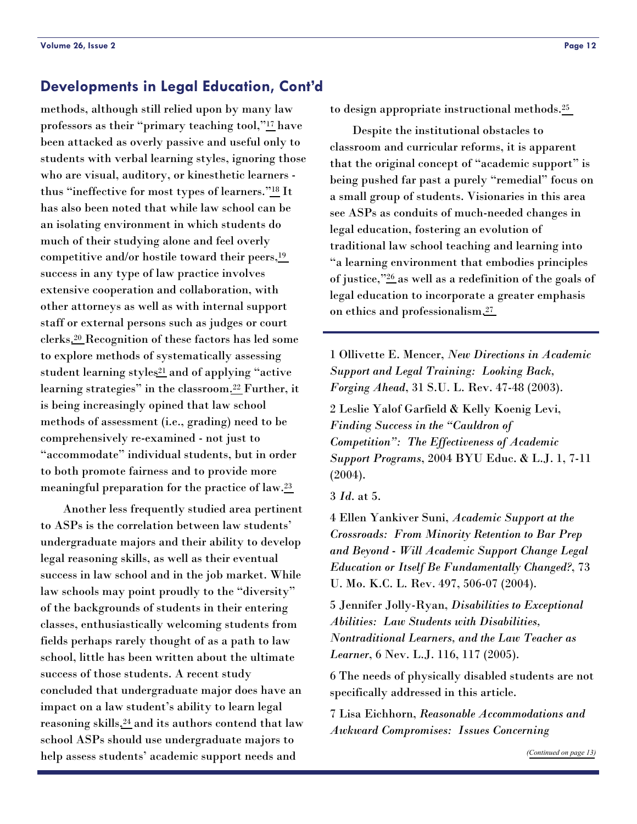# <span id="page-11-0"></span>**Developments in Legal Education, Cont'd**

methods, although still relied upon by many law professors as their "primary teaching tool,"[17](#page-12-0) have been attacked as overly passive and useful only to students with verbal learning styles, ignoring those who are visual, auditory, or kinesthetic learners thus "ineffective for most types of learners.["18](#page-12-0) It has also been noted that while law school can be an isolating environment in which students do much of their studying alone and feel overly competitive and/or hostile toward their peers[,19](#page-12-0) success in any type of law practice involves extensive cooperation and collaboration, with other attorneys as well as with internal support staff or external persons such as judges or court clerks[.20](#page-12-0) Recognition of these factors has led some to explore methods of systematically assessing student learning styles<sup>21</sup> and of applying "active learning strategies" in the classroom[.22](#page-12-0) Further, it is being increasingly opined that law school methods of assessment (i.e., grading) need to be comprehensively re-examined - not just to "accommodate" individual students, but in order to both promote fairness and to provide more meaningful preparation for the practice of law[.23](#page-12-0)

<span id="page-11-4"></span><span id="page-11-3"></span><span id="page-11-2"></span><span id="page-11-1"></span> Another less frequently studied area pertinent to ASPs is the correlation between law students' undergraduate majors and their ability to develop legal reasoning skills, as well as their eventual success in law school and in the job market. While law schools may point proudly to the "diversity" of the backgrounds of students in their entering classes, enthusiastically welcoming students from fields perhaps rarely thought of as a path to law school, little has been written about the ultimate success of those students. A recent study concluded that undergraduate major does have an impact on a law student's ability to learn legal reasoning skills,<sup>24</sup> and its authors contend that law school ASPs should use undergraduate majors to help assess students' academic support needs and

to design appropriate instructional methods[.25](#page-12-0)

 Despite the institutional obstacles to classroom and curricular reforms, it is apparent that the original concept of "academic support" is being pushed far past a purely "remedial" focus on a small group of students. Visionaries in this area see ASPs as conduits of much-needed changes in legal education, fostering an evolution of traditional law school teaching and learning into "a learning environment that embodies principles of justice,["26](#page-12-0) as well as a redefinition of the goals of legal education to incorporate a greater emphasis on ethics and professionalism[.27](#page-12-0)

1 Ollivette E. Mencer, *New Directions in Academic Support and Legal Training: Looking Back, Forging Ahead*, 31 S.U. L. Rev. 47-48 (2003).

2 Leslie Yalof Garfield & Kelly Koenig Levi, *Finding Success in the "Cauldron of Competition": The Effectiveness of Academic Support Programs*, 2004 BYU Educ. & L.J. 1, 7-11 (2004).

3 *Id*. at 5.

4 Ellen Yankiver Suni, *Academic Support at the Crossroads: From Minority Retention to Bar Prep and Beyond - Will Academic Support Change Legal Education or Itself Be Fundamentally Changed?*, 73 U. Mo. K.C. L. Rev. 497, 506-07 (2004).

5 Jennifer Jolly-Ryan, *Disabilities to Exceptional Abilities: Law Students with Disabilities, Nontraditional Learners, and the Law Teacher as Learner*, 6 Nev. L.J. 116, 117 (2005).

6 The needs of physically disabled students are not specifically addressed in this article.

7 Lisa Eichhorn, *Reasonable Accommodations and Awkward Compromises: Issues Concerning*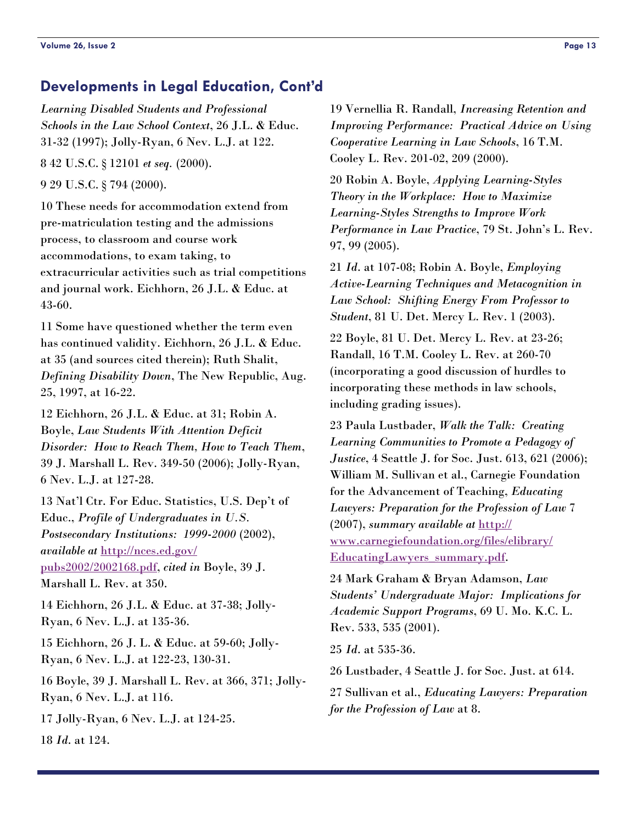# <span id="page-12-0"></span>**Developments in Legal Education, Cont'd**

*Learning Disabled Students and Professional Schools in the Law School Context*, 26 J.L. & Educ. 31-32 (1997); Jolly-Ryan, 6 Nev. L.J. at 122.

8 42 U.S.C. § 12101 *et seq.* (2000).

9 29 U.S.C. § 794 (2000).

10 These needs for accommodation extend from pre-matriculation testing and the admissions process, to classroom and course work accommodations, to exam taking, to extracurricular activities such as trial competitions and journal work. Eichhorn, 26 J.L. & Educ. at 43-60.

11 Some have questioned whether the term even has continued validity. Eichhorn, 26 J.L. & Educ. at 35 (and sources cited therein); Ruth Shalit, *Defining Disability Down*, The New Republic, Aug. 25, 1997, at 16-22.

12 Eichhorn, 26 J.L. & Educ. at 31; Robin A. Boyle, *Law Students With Attention Deficit Disorder: How to Reach Them, How to Teach Them*, 39 J. Marshall L. Rev. 349-50 (2006); Jolly-Ryan, 6 Nev. L.J. at 127-28.

13 Nat'l Ctr. For Educ. Statistics, U.S. Dep't of Educ., *Profile of Undergraduates in U.S. Postsecondary Institutions: 1999-2000* (2002), *available at* [http://nces.ed.gov/](http://nces.ed.gov/pubs2002/2002168.pdf) [pubs2002/2002168.pdf](http://nces.ed.gov/pubs2002/2002168.pdf), *cited in* Boyle, 39 J.

Marshall L. Rev. at 350.

14 Eichhorn, 26 J.L. & Educ. at 37-38; Jolly-Ryan, 6 Nev. L.J. at 135-36.

15 Eichhorn, 26 J. L. & Educ. at 59-60; Jolly-Ryan, 6 Nev. L.J. at 122-23, 130-31.

16 Boyle, 39 J. Marshall L. Rev. at 366, 371; Jolly-Ryan, 6 Nev. L.J. at 116.

17 Jolly-Ryan, 6 Nev. L.J. at 124-25.

18 *Id*. at 124.

19 Vernellia R. Randall, *Increasing Retention and Improving Performance: Practical Advice on Using Cooperative Learning in Law Schools*, 16 T.M. Cooley L. Rev. 201-02, 209 (2000).

20 Robin A. Boyle, *Applying Learning-Styles Theory in the Workplace: How to Maximize Learning-Styles Strengths to Improve Work Performance in Law Practice*, 79 St. John's L. Rev. 97, 99 (2005).

21 *Id*. at 107-08; Robin A. Boyle, *Employing Active-Learning Techniques and Metacognition in Law School: Shifting Energy From Professor to Student*, 81 U. Det. Mercy L. Rev. 1 (2003).

22 Boyle, 81 U. Det. Mercy L. Rev. at 23-26; Randall, 16 T.M. Cooley L. Rev. at 260-70 (incorporating a good discussion of hurdles to incorporating these methods in law schools, including grading issues).

23 Paula Lustbader, *Walk the Talk: Creating Learning Communities to Promote a Pedagogy of Justice*, 4 Seattle J. for Soc. Just. 613, 621 (2006); William M. Sullivan et al., Carnegie Foundation for the Advancement of Teaching, *Educating Lawyers: Preparation for the Profession of Law* 7 (2007), *summary available at* [http://](http://www.carnegiefoundation.org/files/elibrary/EducatingLawyers_summary.pdf) [www.carnegiefoundation.org/files/elibrary/](http://www.carnegiefoundation.org/files/elibrary/EducatingLawyers_summary.pdf) [EducatingLawyers\\_summary.pdf](http://www.carnegiefoundation.org/files/elibrary/EducatingLawyers_summary.pdf).

24 Mark Graham & Bryan Adamson, *Law Students' Undergraduate Major: Implications for Academic Support Programs*, 69 U. Mo. K.C. L. Rev. 533, 535 (2001).

25 *Id*. at 535-36.

26 Lustbader, 4 Seattle J. for Soc. Just. at 614.

27 Sullivan et al., *Educating Lawyers: Preparation for the Profession of Law* at 8.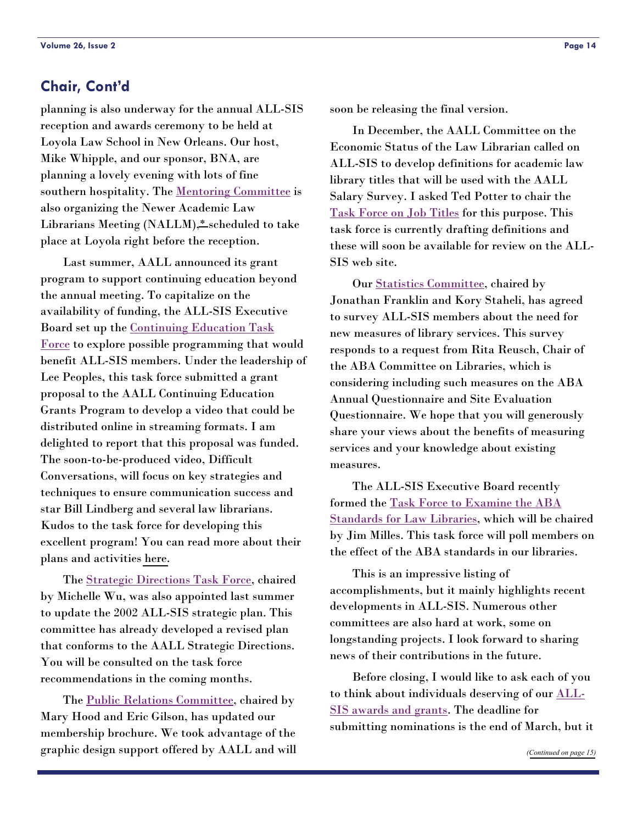# <span id="page-13-0"></span>**Chair, Cont'd**

planning is also underway for the annual ALL-SIS reception and awards ceremony to be held at Loyola Law School in New Orleans. Our host, Mike Whipple, and our sponsor, BNA, are planning a lovely evening with lots of fine southern hospitality. The [Mentoring Committee](http://www.aallnet.org/sis/allsis/directories/index.asp#nallm) is also organizing the Newer Academic Law Librarians Meeting (NALLM)[,\\*](#page-14-1) scheduled to take place at Loyola right before the reception.

 Last summer, AALL announced its grant program to support continuing education beyond the annual meeting. To capitalize on the availability of funding, the ALL-SIS Executive Board set up the [Continuing Education Task](http://www.aallnet.org/sis/allsis/directories/index.asp#education)  [Force](http://www.aallnet.org/sis/allsis/directories/index.asp#education) to explore possible programming that would benefit ALL-SIS members. Under the leadership of Lee Peoples, this task force submitted a grant proposal to the AALL Continuing Education Grants Program to develop a video that could be distributed online in streaming formats. I am delighted to report that this proposal was funded. The soon-to-be-produced video, Difficult Conversations, will focus on key strategies and techniques to ensure communication success and star Bill Lindberg and several law librarians. Kudos to the task force for developing this excellent program! You can read more about their plans and activities [here.](#page-3-0)

 The [Strategic Directions Task Force](http://www.aallnet.org/sis/allsis/directories/index.asp#strategic), chaired by Michelle Wu, was also appointed last summer to update the 2002 ALL-SIS strategic plan. This committee has already developed a revised plan that conforms to the AALL Strategic Directions. You will be consulted on the task force recommendations in the coming months.

The [Public Relations Committee](http://www.aallnet.org/sis/allsis/directories/index.asp#pr), chaired by Mary Hood and Eric Gilson, has updated our membership brochure. We took advantage of the graphic design support offered by AALL and will soon be releasing the final version.

 In December, the AALL Committee on the Economic Status of the Law Librarian called on ALL-SIS to develop definitions for academic law library titles that will be used with the AALL Salary Survey. I asked Ted Potter to chair the [Task Force on Job Titles](http://www.aallnet.org/sis/allsis/directories/index.asp#titles) for this purpose. This task force is currently drafting definitions and these will soon be available for review on the ALL-SIS web site.

 Our [Statistics Committee](http://www.aallnet.org/sis/allsis/directories/index.asp#statistics), chaired by Jonathan Franklin and Kory Staheli, has agreed to survey ALL-SIS members about the need for new measures of library services. This survey responds to a request from Rita Reusch, Chair of the ABA Committee on Libraries, which is considering including such measures on the ABA Annual Questionnaire and Site Evaluation Questionnaire. We hope that you will generously share your views about the benefits of measuring services and your knowledge about existing measures.

 The ALL-SIS Executive Board recently formed the [Task Force to Examine the ABA](http://www.aallnet.org/sis/allsis/directories/index.asp#standards)  [Standards for Law Libraries](http://www.aallnet.org/sis/allsis/directories/index.asp#standards), which will be chaired by Jim Milles. This task force will poll members on the effect of the ABA standards in our libraries.

 This is an impressive listing of accomplishments, but it mainly highlights recent developments in ALL-SIS. Numerous other committees are also hard at work, some on longstanding projects. I look forward to sharing news of their contributions in the future.

 Before closing, I would like to ask each of you to think about individuals deserving of our [ALL-](http://www.aallnet.org/sis/allsis/awards/criteria.asp)[SIS awards and grants](http://www.aallnet.org/sis/allsis/awards/criteria.asp). The deadline for submitting nominations is the end of March, but it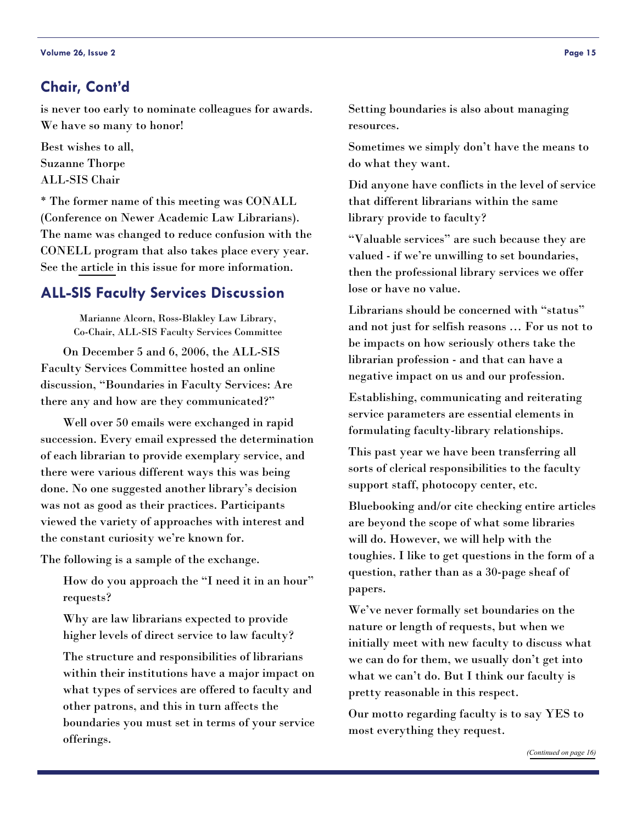# <span id="page-14-0"></span>**Chair, Cont'd**

is never too early to nominate colleagues for awards. We have so many to honor!

Best wishes to all, Suzanne Thorpe ALL-SIS Chair

<span id="page-14-1"></span>\* The former name of this meeting was CONALL (Conference on Newer Academic Law Librarians). The name was changed to reduce confusion with the CONELL program that also takes place every year. See the [article](#page-1-1) in this issue for more information.

# **ALL-SIS Faculty Services Discussion**

Marianne Alcorn, Ross-Blakley Law Library, Co-Chair, ALL-SIS Faculty Services Committee

 On December 5 and 6, 2006, the ALL-SIS Faculty Services Committee hosted an online discussion, "Boundaries in Faculty Services: Are there any and how are they communicated?"

 Well over 50 emails were exchanged in rapid succession. Every email expressed the determination of each librarian to provide exemplary service, and there were various different ways this was being done. No one suggested another library's decision was not as good as their practices. Participants viewed the variety of approaches with interest and the constant curiosity we're known for.

The following is a sample of the exchange.

How do you approach the "I need it in an hour" requests?

Why are law librarians expected to provide higher levels of direct service to law faculty?

The structure and responsibilities of librarians within their institutions have a major impact on what types of services are offered to faculty and other patrons, and this in turn affects the boundaries you must set in terms of your service offerings.

Setting boundaries is also about managing resources.

Sometimes we simply don't have the means to do what they want.

Did anyone have conflicts in the level of service that different librarians within the same library provide to faculty?

"Valuable services" are such because they are valued - if we're unwilling to set boundaries, then the professional library services we offer lose or have no value.

Librarians should be concerned with "status" and not just for selfish reasons … For us not to be impacts on how seriously others take the librarian profession - and that can have a negative impact on us and our profession.

Establishing, communicating and reiterating service parameters are essential elements in formulating faculty-library relationships.

This past year we have been transferring all sorts of clerical responsibilities to the faculty support staff, photocopy center, etc.

Bluebooking and/or cite checking entire articles are beyond the scope of what some libraries will do. However, we will help with the toughies. I like to get questions in the form of a question, rather than as a 30-page sheaf of papers.

We've never formally set boundaries on the nature or length of requests, but when we initially meet with new faculty to discuss what we can do for them, we usually don't get into what we can't do. But I think our faculty is pretty reasonable in this respect.

Our motto regarding faculty is to say YES to most everything they request.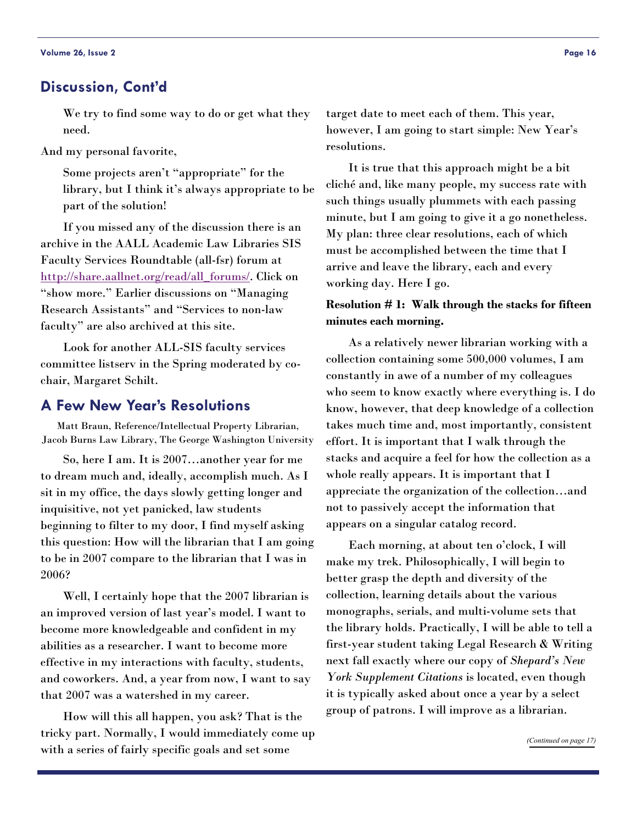#### <span id="page-15-0"></span>**Discussion, Cont'd**

We try to find some way to do or get what they need.

And my personal favorite,

Some projects aren't "appropriate" for the library, but I think it's always appropriate to be part of the solution!

 If you missed any of the discussion there is an archive in the AALL Academic Law Libraries SIS Faculty Services Roundtable (all-fsr) forum at [http://share.aallnet.org/read/all\\_forums/](http://share.aallnet.org/read/all_forums/). Click on "show more." Earlier discussions on "Managing Research Assistants" and "Services to non-law faculty" are also archived at this site.

 Look for another ALL-SIS faculty services committee listserv in the Spring moderated by cochair, Margaret Schilt.

## **A Few New Year's Resolutions**

Matt Braun, Reference/Intellectual Property Librarian, Jacob Burns Law Library, The George Washington University

 So, here I am. It is 2007…another year for me to dream much and, ideally, accomplish much. As I sit in my office, the days slowly getting longer and inquisitive, not yet panicked, law students beginning to filter to my door, I find myself asking this question: How will the librarian that I am going to be in 2007 compare to the librarian that I was in 2006?

 Well, I certainly hope that the 2007 librarian is an improved version of last year's model. I want to become more knowledgeable and confident in my abilities as a researcher. I want to become more effective in my interactions with faculty, students, and coworkers. And, a year from now, I want to say that 2007 was a watershed in my career.

 How will this all happen, you ask? That is the tricky part. Normally, I would immediately come up with a series of fairly specific goals and set some

target date to meet each of them. This year, however, I am going to start simple: New Year's resolutions.

 It is true that this approach might be a bit cliché and, like many people, my success rate with such things usually plummets with each passing minute, but I am going to give it a go nonetheless. My plan: three clear resolutions, each of which must be accomplished between the time that I arrive and leave the library, each and every working day. Here I go.

#### **Resolution # 1: Walk through the stacks for fifteen minutes each morning.**

 As a relatively newer librarian working with a collection containing some 500,000 volumes, I am constantly in awe of a number of my colleagues who seem to know exactly where everything is. I do know, however, that deep knowledge of a collection takes much time and, most importantly, consistent effort. It is important that I walk through the stacks and acquire a feel for how the collection as a whole really appears. It is important that I appreciate the organization of the collection…and not to passively accept the information that appears on a singular catalog record.

 Each morning, at about ten o'clock, I will make my trek. Philosophically, I will begin to better grasp the depth and diversity of the collection, learning details about the various monographs, serials, and multi-volume sets that the library holds. Practically, I will be able to tell a first-year student taking Legal Research & Writing next fall exactly where our copy of *Shepard's New York Supplement Citations* is located, even though it is typically asked about once a year by a select group of patrons. I will improve as a librarian.

*([Continued on page 17\)](#page-16-0)*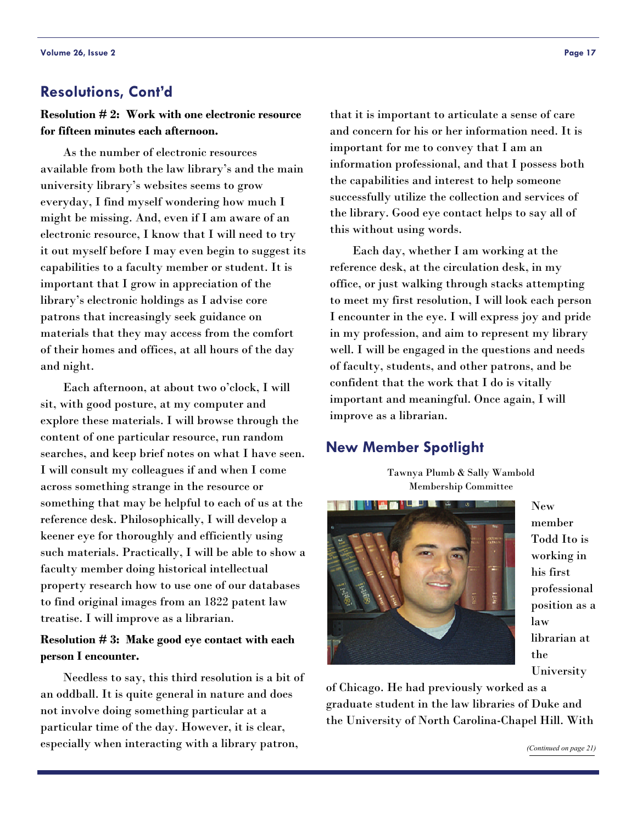# <span id="page-16-0"></span>**Resolutions, Cont'd**

**Resolution # 2: Work with one electronic resource for fifteen minutes each afternoon.** 

 As the number of electronic resources available from both the law library's and the main university library's websites seems to grow everyday, I find myself wondering how much I might be missing. And, even if I am aware of an electronic resource, I know that I will need to try it out myself before I may even begin to suggest its capabilities to a faculty member or student. It is important that I grow in appreciation of the library's electronic holdings as I advise core patrons that increasingly seek guidance on materials that they may access from the comfort of their homes and offices, at all hours of the day and night.

 Each afternoon, at about two o'clock, I will sit, with good posture, at my computer and explore these materials. I will browse through the content of one particular resource, run random searches, and keep brief notes on what I have seen. I will consult my colleagues if and when I come across something strange in the resource or something that may be helpful to each of us at the reference desk. Philosophically, I will develop a keener eye for thoroughly and efficiently using such materials. Practically, I will be able to show a faculty member doing historical intellectual property research how to use one of our databases to find original images from an 1822 patent law treatise. I will improve as a librarian.

#### **Resolution # 3: Make good eye contact with each person I encounter.**

 Needless to say, this third resolution is a bit of an oddball. It is quite general in nature and does not involve doing something particular at a particular time of the day. However, it is clear, especially when interacting with a library patron,

that it is important to articulate a sense of care and concern for his or her information need. It is important for me to convey that I am an information professional, and that I possess both the capabilities and interest to help someone successfully utilize the collection and services of the library. Good eye contact helps to say all of this without using words.

 Each day, whether I am working at the reference desk, at the circulation desk, in my office, or just walking through stacks attempting to meet my first resolution, I will look each person I encounter in the eye. I will express joy and pride in my profession, and aim to represent my library well. I will be engaged in the questions and needs of faculty, students, and other patrons, and be confident that the work that I do is vitally important and meaningful. Once again, I will improve as a librarian.

# **New Member Spotlight**

Tawnya Plumb & Sally Wambold Membership Committee



New member Todd Ito is working in his first professional position as a law librarian at the University

*([Continued on page 21\)](#page-20-0)* 

of Chicago. He had previously worked as a graduate student in the law libraries of Duke and the University of North Carolina-Chapel Hill. With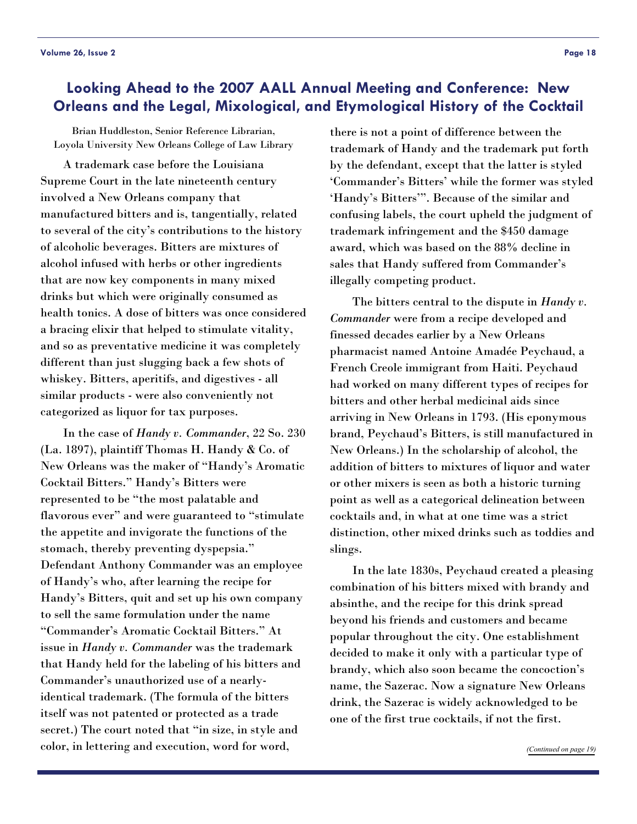# <span id="page-17-0"></span>**Looking Ahead to the 2007 AALL Annual Meeting and Conference: New Orleans and the Legal, Mixological, and Etymological History of the Cocktail**

Brian Huddleston, Senior Reference Librarian, Loyola University New Orleans College of Law Library

 A trademark case before the Louisiana Supreme Court in the late nineteenth century involved a New Orleans company that manufactured bitters and is, tangentially, related to several of the city's contributions to the history of alcoholic beverages. Bitters are mixtures of alcohol infused with herbs or other ingredients that are now key components in many mixed drinks but which were originally consumed as health tonics. A dose of bitters was once considered a bracing elixir that helped to stimulate vitality, and so as preventative medicine it was completely different than just slugging back a few shots of whiskey. Bitters, aperitifs, and digestives - all similar products - were also conveniently not categorized as liquor for tax purposes.

 In the case of *Handy v. Commander*, 22 So. 230 (La. 1897), plaintiff Thomas H. Handy & Co. of New Orleans was the maker of "Handy's Aromatic Cocktail Bitters." Handy's Bitters were represented to be "the most palatable and flavorous ever" and were guaranteed to "stimulate the appetite and invigorate the functions of the stomach, thereby preventing dyspepsia." Defendant Anthony Commander was an employee of Handy's who, after learning the recipe for Handy's Bitters, quit and set up his own company to sell the same formulation under the name "Commander's Aromatic Cocktail Bitters." At issue in *Handy v. Commander* was the trademark that Handy held for the labeling of his bitters and Commander's unauthorized use of a nearlyidentical trademark. (The formula of the bitters itself was not patented or protected as a trade secret.) The court noted that "in size, in style and color, in lettering and execution, word for word,

there is not a point of difference between the trademark of Handy and the trademark put forth by the defendant, except that the latter is styled 'Commander's Bitters' while the former was styled 'Handy's Bitters'". Because of the similar and confusing labels, the court upheld the judgment of trademark infringement and the \$450 damage award, which was based on the 88% decline in sales that Handy suffered from Commander's illegally competing product.

 The bitters central to the dispute in *Handy v. Commander* were from a recipe developed and finessed decades earlier by a New Orleans pharmacist named Antoine Amadée Peychaud, a French Creole immigrant from Haiti. Peychaud had worked on many different types of recipes for bitters and other herbal medicinal aids since arriving in New Orleans in 1793. (His eponymous brand, Peychaud's Bitters, is still manufactured in New Orleans.) In the scholarship of alcohol, the addition of bitters to mixtures of liquor and water or other mixers is seen as both a historic turning point as well as a categorical delineation between cocktails and, in what at one time was a strict distinction, other mixed drinks such as toddies and slings.

 In the late 1830s, Peychaud created a pleasing combination of his bitters mixed with brandy and absinthe, and the recipe for this drink spread beyond his friends and customers and became popular throughout the city. One establishment decided to make it only with a particular type of brandy, which also soon became the concoction's name, the Sazerac. Now a signature New Orleans drink, the Sazerac is widely acknowledged to be one of the first true cocktails, if not the first.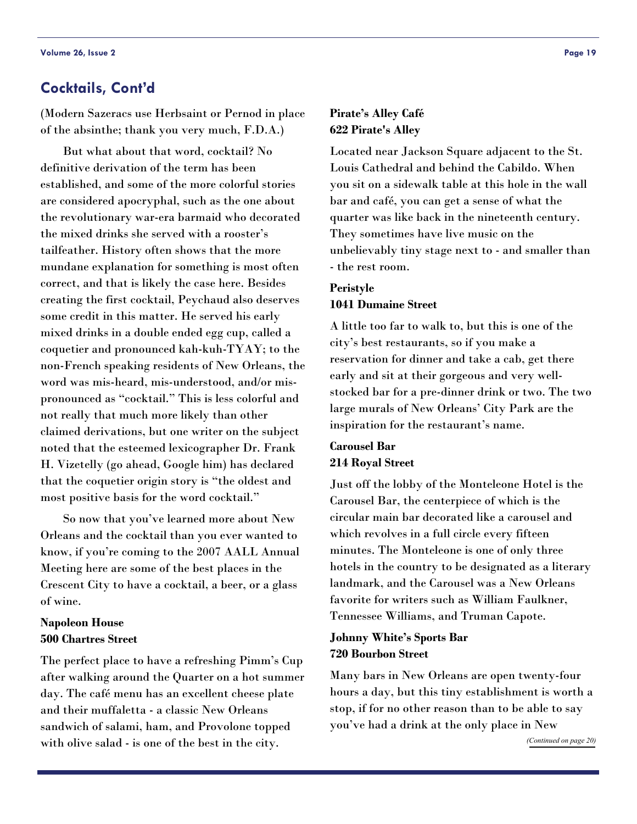# <span id="page-18-0"></span>**Cocktails, Cont'd**

(Modern Sazeracs use Herbsaint or Pernod in place of the absinthe; thank you very much, F.D.A.)

 But what about that word, cocktail? No definitive derivation of the term has been established, and some of the more colorful stories are considered apocryphal, such as the one about the revolutionary war-era barmaid who decorated the mixed drinks she served with a rooster's tailfeather. History often shows that the more mundane explanation for something is most often correct, and that is likely the case here. Besides creating the first cocktail, Peychaud also deserves some credit in this matter. He served his early mixed drinks in a double ended egg cup, called a coquetier and pronounced kah-kuh-TYAY; to the non-French speaking residents of New Orleans, the word was mis-heard, mis-understood, and/or mispronounced as "cocktail." This is less colorful and not really that much more likely than other claimed derivations, but one writer on the subject noted that the esteemed lexicographer Dr. Frank H. Vizetelly (go ahead, Google him) has declared that the coquetier origin story is "the oldest and most positive basis for the word cocktail."

 So now that you've learned more about New Orleans and the cocktail than you ever wanted to know, if you're coming to the 2007 AALL Annual Meeting here are some of the best places in the Crescent City to have a cocktail, a beer, or a glass of wine.

#### **Napoleon House 500 Chartres Street**

The perfect place to have a refreshing Pimm's Cup after walking around the Quarter on a hot summer day. The café menu has an excellent cheese plate and their muffaletta - a classic New Orleans sandwich of salami, ham, and Provolone topped with olive salad - is one of the best in the city.

#### **Pirate's Alley Café 622 Pirate's Alley**

Located near Jackson Square adjacent to the St. Louis Cathedral and behind the Cabildo. When you sit on a sidewalk table at this hole in the wall bar and café, you can get a sense of what the quarter was like back in the nineteenth century. They sometimes have live music on the unbelievably tiny stage next to - and smaller than - the rest room.

#### **Peristyle 1041 Dumaine Street**

A little too far to walk to, but this is one of the city's best restaurants, so if you make a reservation for dinner and take a cab, get there early and sit at their gorgeous and very wellstocked bar for a pre-dinner drink or two. The two large murals of New Orleans' City Park are the inspiration for the restaurant's name.

# **Carousel Bar 214 Royal Street**

Just off the lobby of the Monteleone Hotel is the Carousel Bar, the centerpiece of which is the circular main bar decorated like a carousel and which revolves in a full circle every fifteen minutes. The Monteleone is one of only three hotels in the country to be designated as a literary landmark, and the Carousel was a New Orleans favorite for writers such as William Faulkner, Tennessee Williams, and Truman Capote.

#### **Johnny White's Sports Bar 720 Bourbon Street**

Many bars in New Orleans are open twenty-four hours a day, but this tiny establishment is worth a stop, if for no other reason than to be able to say you've had a drink at the only place in New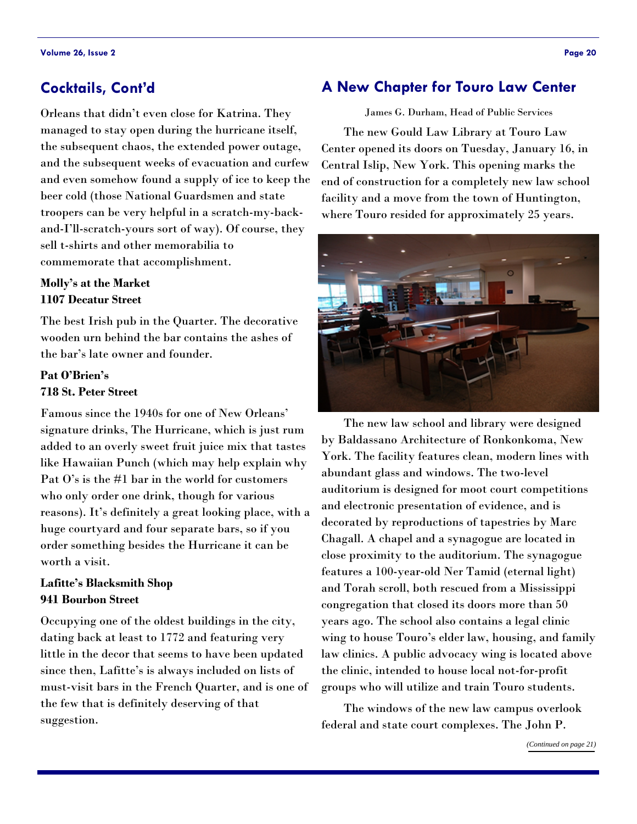# <span id="page-19-1"></span><span id="page-19-0"></span>**Cocktails, Cont'd**

Orleans that didn't even close for Katrina. They managed to stay open during the hurricane itself, the subsequent chaos, the extended power outage, and the subsequent weeks of evacuation and curfew and even somehow found a supply of ice to keep the beer cold (those National Guardsmen and state troopers can be very helpful in a scratch-my-backand-I'll-scratch-yours sort of way). Of course, they sell t-shirts and other memorabilia to commemorate that accomplishment.

## **Molly's at the Market 1107 Decatur Street**

The best Irish pub in the Quarter. The decorative wooden urn behind the bar contains the ashes of the bar's late owner and founder.

# **Pat O'Brien's 718 St. Peter Street**

Famous since the 1940s for one of New Orleans' signature drinks, The Hurricane, which is just rum added to an overly sweet fruit juice mix that tastes like Hawaiian Punch (which may help explain why Pat O's is the #1 bar in the world for customers who only order one drink, though for various reasons). It's definitely a great looking place, with a huge courtyard and four separate bars, so if you order something besides the Hurricane it can be worth a visit.

# **Lafitte's Blacksmith Shop 941 Bourbon Street**

Occupying one of the oldest buildings in the city, dating back at least to 1772 and featuring very little in the decor that seems to have been updated since then, Lafitte's is always included on lists of must-visit bars in the French Quarter, and is one of the few that is definitely deserving of that suggestion.

# **A New Chapter for Touro Law Center**

James G. Durham, Head of Public Services The new Gould Law Library at Touro Law Center opened its doors on Tuesday, January 16, in Central Islip, New York. This opening marks the end of construction for a completely new law school facility and a move from the town of Huntington, where Touro resided for approximately 25 years.



 The new law school and library were designed by Baldassano Architecture of Ronkonkoma, New York. The facility features clean, modern lines with abundant glass and windows. The two-level auditorium is designed for moot court competitions and electronic presentation of evidence, and is decorated by reproductions of tapestries by Marc Chagall. A chapel and a synagogue are located in close proximity to the auditorium. The synagogue features a 100-year-old Ner Tamid (eternal light) and Torah scroll, both rescued from a Mississippi congregation that closed its doors more than 50 years ago. The school also contains a legal clinic wing to house Touro's elder law, housing, and family law clinics. A public advocacy wing is located above the clinic, intended to house local not-for-profit groups who will utilize and train Touro students.

 The windows of the new law campus overlook federal and state court complexes. The John P.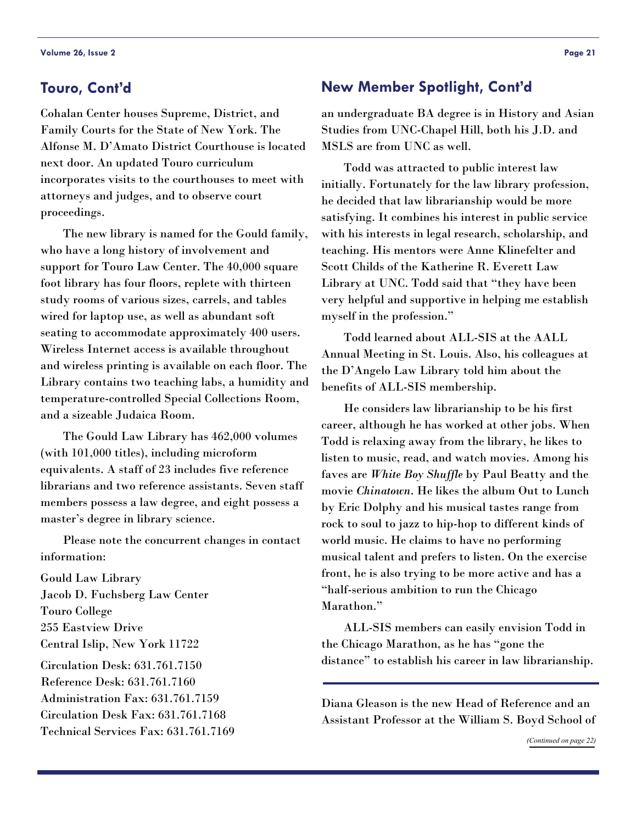# <span id="page-20-0"></span>**Touro, Cont'd**

Cohalan Center houses Supreme, District, and Family Courts for the State of New York. The Alfonse M. D'Amato District Courthouse is located next door. An updated Touro curriculum incorporates visits to the courthouses to meet with attorneys and judges, and to observe court proceedings.

 The new library is named for the Gould family, who have a long history of involvement and support for Touro Law Center. The 40,000 square foot library has four floors, replete with thirteen study rooms of various sizes, carrels, and tables wired for laptop use, as well as abundant soft seating to accommodate approximately 400 users. Wireless Internet access is available throughout and wireless printing is available on each floor. The Library contains two teaching labs, a humidity and temperature-controlled Special Collections Room, and a sizeable Judaica Room.

 The Gould Law Library has 462,000 volumes (with 101,000 titles), including microform equivalents. A staff of 23 includes five reference librarians and two reference assistants. Seven staff members possess a law degree, and eight possess a master's degree in library science.

 Please note the concurrent changes in contact information:

Gould Law Library Jacob D. Fuchsberg Law Center Touro College 255 Eastview Drive Central Islip, New York 11722 Circulation Desk: 631.761.7150 Reference Desk: 631.761.7160 Administration Fax: 631.761.7159 Circulation Desk Fax: 631.761.7168 Technical Services Fax: 631.761.7169

# **New Member Spotlight, Cont'd**

an undergraduate BA degree is in History and Asian Studies from UNC-Chapel Hill, both his J.D. and MSLS are from UNC as well.

 Todd was attracted to public interest law initially. Fortunately for the law library profession, he decided that law librarianship would be more satisfying. It combines his interest in public service with his interests in legal research, scholarship, and teaching. His mentors were Anne Klinefelter and Scott Childs of the Katherine R. Everett Law Library at UNC. Todd said that "they have been very helpful and supportive in helping me establish myself in the profession."

 Todd learned about ALL-SIS at the AALL Annual Meeting in St. Louis. Also, his colleagues at the D'Angelo Law Library told him about the benefits of ALL-SIS membership.

 He considers law librarianship to be his first career, although he has worked at other jobs. When Todd is relaxing away from the library, he likes to listen to music, read, and watch movies. Among his faves are *White Boy Shuffle* by Paul Beatty and the movie *Chinatown*. He likes the album Out to Lunch by Eric Dolphy and his musical tastes range from rock to soul to jazz to hip-hop to different kinds of world music. He claims to have no performing musical talent and prefers to listen. On the exercise front, he is also trying to be more active and has a "half-serious ambition to run the Chicago Marathon."

 ALL-SIS members can easily envision Todd in the Chicago Marathon, as he has "gone the distance" to establish his career in law librarianship.

Diana Gleason is the new Head of Reference and an Assistant Professor at the William S. Boyd School of

*([Continued on page 22\)](#page-21-0)*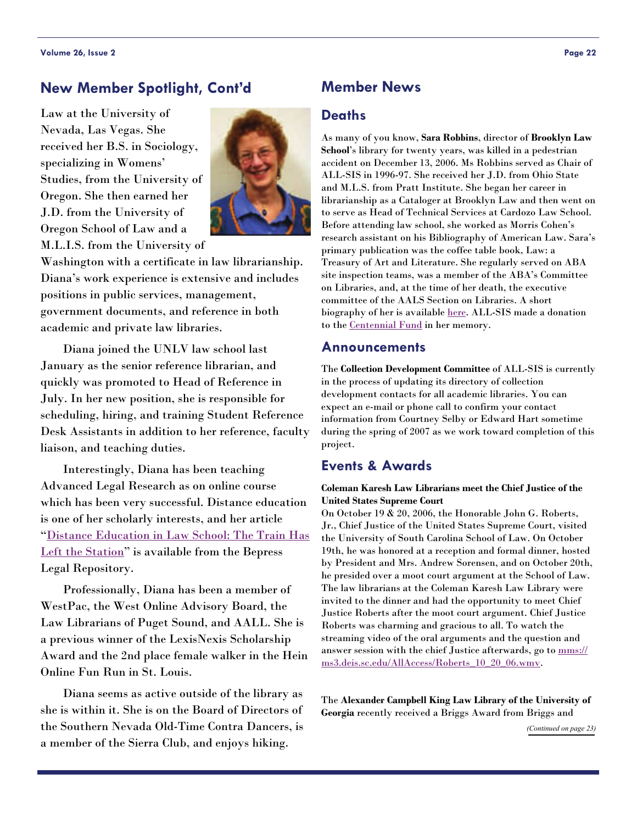# <span id="page-21-0"></span>**New Member Spotlight, Cont'd**

Law at the University of Nevada, Las Vegas. She received her B.S. in Sociology, specializing in Womens' Studies, from the University of Oregon. She then earned her J.D. from the University of Oregon School of Law and a M.L.I.S. from the University of



Washington with a certificate in law librarianship. Diana's work experience is extensive and includes positions in public services, management, government documents, and reference in both academic and private law libraries.

 Diana joined the UNLV law school last January as the senior reference librarian, and quickly was promoted to Head of Reference in July. In her new position, she is responsible for scheduling, hiring, and training Student Reference Desk Assistants in addition to her reference, faculty liaison, and teaching duties.

 Interestingly, Diana has been teaching Advanced Legal Research as on online course which has been very successful. Distance education is one of her scholarly interests, and her article "[Distance Education in Law School: The Train Has](http://law.bepress.com/expresso/eps/1762/)  [Left the Station](http://law.bepress.com/expresso/eps/1762/)" is available from the Bepress Legal Repository.

 Professionally, Diana has been a member of WestPac, the West Online Advisory Board, the Law Librarians of Puget Sound, and AALL. She is a previous winner of the LexisNexis Scholarship Award and the 2nd place female walker in the Hein Online Fun Run in St. Louis.

 Diana seems as active outside of the library as she is within it. She is on the Board of Directors of the Southern Nevada Old-Time Contra Dancers, is a member of the Sierra Club, and enjoys hiking.

# **Member News**

#### **Deaths**

As many of you know, **Sara Robbins**, director of **Brooklyn Law School**'s library for twenty years, was killed in a pedestrian accident on December 13, 2006. Ms Robbins served as Chair of ALL-SIS in 1996-97. She received her J.D. from Ohio State and M.L.S. from Pratt Institute. She began her career in librarianship as a Cataloger at Brooklyn Law and then went on to serve as Head of Technical Services at Cardozo Law School. Before attending law school, she worked as Morris Cohen's research assistant on his Bibliography of American Law. Sara's primary publication was the coffee table book, Law: a Treasury of Art and Literature. She regularly served on ABA site inspection teams, was a member of the ABA's Committee on Libraries, and, at the time of her death, the executive committee of the AALS Section on Libraries. A short biography of her is available [here.](http://www.brooklaw.edu/faculty/profile/?page=127) ALL-SIS made a donation to the [Centennial Fund](http://www.aallnet.org/about/giving_opportunities.pdf) in her memory.

#### **Announcements**

The **Collection Development Committee** of ALL-SIS is currently in the process of updating its directory of collection development contacts for all academic libraries. You can expect an e-mail or phone call to confirm your contact information from Courtney Selby or Edward Hart sometime during the spring of 2007 as we work toward completion of this project.

# **Events & Awards**

#### **Coleman Karesh Law Librarians meet the Chief Justice of the United States Supreme Court**

On October 19 & 20, 2006, the Honorable John G. Roberts, Jr., Chief Justice of the United States Supreme Court, visited the University of South Carolina School of Law. On October 19th, he was honored at a reception and formal dinner, hosted by President and Mrs. Andrew Sorensen, and on October 20th, he presided over a moot court argument at the School of Law. The law librarians at the Coleman Karesh Law Library were invited to the dinner and had the opportunity to meet Chief Justice Roberts after the moot court argument. Chief Justice Roberts was charming and gracious to all. To watch the streaming video of the oral arguments and the question and answer session with the chief Justice afterwards, go to mms:// ms3.deis.sc.edu/AllAccess/Roberts\_10\_20\_06.wm[v.](mms://ms3.deis.sc.edu/AllAccess/Roberts_10_20_06.wmv)

The **Alexander Campbell King Law Library of the University of Georgia** recently received a Briggs Award from Briggs and

*[\(Continued on page 23\)](#page-22-0)*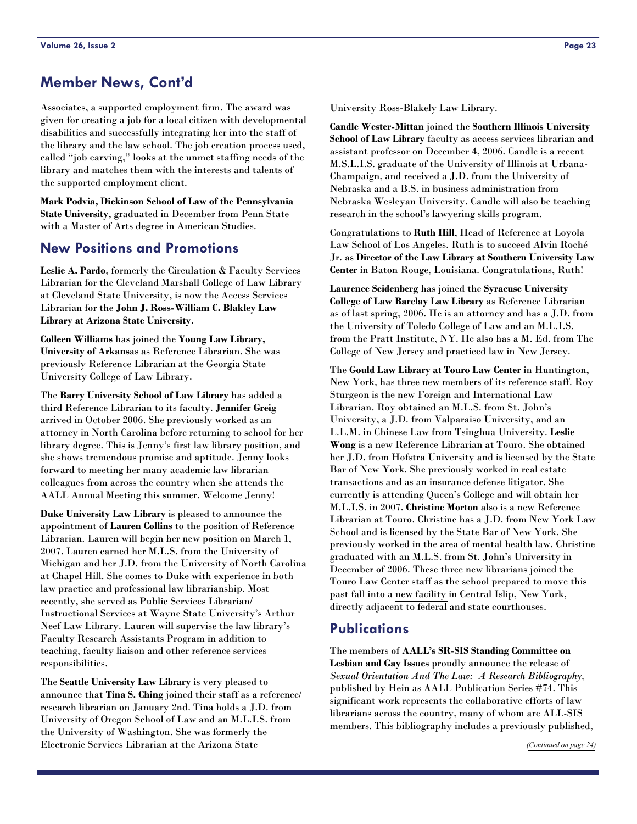# <span id="page-22-0"></span>**Member News, Cont'd**

Associates, a supported employment firm. The award was given for creating a job for a local citizen with developmental disabilities and successfully integrating her into the staff of the library and the law school. The job creation process used, called "job carving," looks at the unmet staffing needs of the library and matches them with the interests and talents of the supported employment client.

**Mark Podvia, Dickinson School of Law of the Pennsylvania State University**, graduated in December from Penn State with a Master of Arts degree in American Studies.

# **New Positions and Promotions**

**Leslie A. Pardo**, formerly the Circulation & Faculty Services Librarian for the Cleveland Marshall College of Law Library at Cleveland State University, is now the Access Services Librarian for the **John J. Ross-William C. Blakley Law Library at Arizona State University**.

**Colleen Williams** has joined the **Young Law Library, University of Arkans**as as Reference Librarian. She was previously Reference Librarian at the Georgia State University College of Law Library.

The **Barry University School of Law Library** has added a third Reference Librarian to its faculty. **Jennifer Greig** arrived in October 2006. She previously worked as an attorney in North Carolina before returning to school for her library degree. This is Jenny's first law library position, and she shows tremendous promise and aptitude. Jenny looks forward to meeting her many academic law librarian colleagues from across the country when she attends the AALL Annual Meeting this summer. Welcome Jenny!

**Duke University Law Library** is pleased to announce the appointment of **Lauren Collins** to the position of Reference Librarian. Lauren will begin her new position on March 1, 2007. Lauren earned her M.L.S. from the University of Michigan and her J.D. from the University of North Carolina at Chapel Hill. She comes to Duke with experience in both law practice and professional law librarianship. Most recently, she served as Public Services Librarian/ Instructional Services at Wayne State University's Arthur Neef Law Library. Lauren will supervise the law library's Faculty Research Assistants Program in addition to teaching, faculty liaison and other reference services responsibilities.

The **Seattle University Law Library** is very pleased to announce that **Tina S. Ching** joined their staff as a reference/ research librarian on January 2nd. Tina holds a J.D. from University of Oregon School of Law and an M.L.I.S. from the University of Washington. She was formerly the Electronic Services Librarian at the Arizona State

University Ross-Blakely Law Library.

**Candle Wester-Mittan** joined the **Southern Illinois University School of Law Library** faculty as access services librarian and assistant professor on December 4, 2006. Candle is a recent M.S.L.I.S. graduate of the University of Illinois at Urbana-Champaign, and received a J.D. from the University of Nebraska and a B.S. in business administration from Nebraska Wesleyan University. Candle will also be teaching research in the school's lawyering skills program.

Congratulations to **Ruth Hill**, Head of Reference at Loyola Law School of Los Angeles. Ruth is to succeed Alvin Roché Jr. as **Director of the Law Library at Southern University Law Center** in Baton Rouge, Louisiana. Congratulations, Ruth!

**Laurence Seidenberg** has joined the **Syracuse University College of Law Barclay Law Library** as Reference Librarian as of last spring, 2006. He is an attorney and has a J.D. from the University of Toledo College of Law and an M.L.I.S. from the Pratt Institute, NY. He also has a M. Ed. from The College of New Jersey and practiced law in New Jersey.

The **Gould Law Library at Touro Law Center** in Huntington, New York, has three new members of its reference staff. Roy Sturgeon is the new Foreign and International Law Librarian. Roy obtained an M.L.S. from St. John's University, a J.D. from Valparaiso University, and an L.L.M. in Chinese Law from Tsinghua University. **Leslie Wong** is a new Reference Librarian at Touro. She obtained her J.D. from Hofstra University and is licensed by the State Bar of New York. She previously worked in real estate transactions and as an insurance defense litigator. She currently is attending Queen's College and will obtain her M.L.I.S. in 2007. **Christine Morton** also is a new Reference Librarian at Touro. Christine has a J.D. from New York Law School and is licensed by the State Bar of New York. She previously worked in the area of mental health law. Christine graduated with an M.L.S. from St. John's University in December of 2006. These three new librarians joined the Touro Law Center staff as the school prepared to move this past fall into a [new facility](#page-19-1) in Central Islip, New York, directly adjacent to federal and state courthouses.

# **Publications**

The members of **AALL's SR-SIS Standing Committee on Lesbian and Gay Issues** proudly announce the release of *Sexual Orientation And The Law: A Research Bibliography*, published by Hein as AALL Publication Series #74. This significant work represents the collaborative efforts of law librarians across the country, many of whom are ALL-SIS members. This bibliography includes a previously published,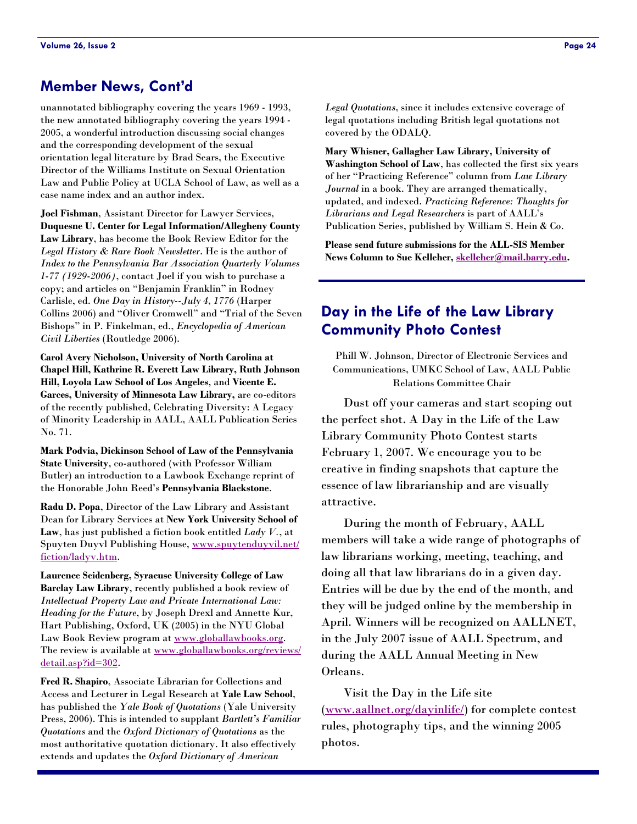# <span id="page-23-0"></span>**Member News, Cont'd**

unannotated bibliography covering the years 1969 - 1993, the new annotated bibliography covering the years 1994 - 2005, a wonderful introduction discussing social changes and the corresponding development of the sexual orientation legal literature by Brad Sears, the Executive Director of the Williams Institute on Sexual Orientation Law and Public Policy at UCLA School of Law, as well as a case name index and an author index.

**Joel Fishman**, Assistant Director for Lawyer Services, **Duquesne U. Center for Legal Information/Allegheny County Law Library**, has become the Book Review Editor for the *Legal History & Rare Book Newsletter*. He is the author of *Index to the Pennsylvania Bar Association Quarterly Volumes 1-77 (1929-2006)*, contact Joel if you wish to purchase a copy; and articles on "Benjamin Franklin" in Rodney Carlisle, ed. *One Day in History--July 4, 1776* (Harper Collins 2006) and "Oliver Cromwell" and "Trial of the Seven Bishops" in P. Finkelman, ed., *Encyclopedia of American Civil Liberties* (Routledge 2006).

**Carol Avery Nicholson, University of North Carolina at Chapel Hill, Kathrine R. Everett Law Library, Ruth Johnson Hill, Loyola Law School of Los Angeles**, and **Vicente E. Garces, University of Minnesota Law Library,** are co-editors of the recently published, Celebrating Diversity: A Legacy of Minority Leadership in AALL, AALL Publication Series No. 71.

**Mark Podvia, Dickinson School of Law of the Pennsylvania State University**, co-authored (with Professor William Butler) an introduction to a Lawbook Exchange reprint of the Honorable John Reed's **Pennsy[lvania Blackstone](http://www.spuytenduyvil.net/fiction/ladyv.htm)**.

**[Radu D. Popa](http://www.spuytenduyvil.net/fiction/ladyv.htm)**, Director of the Law Library and Assistant Dean for Library Services at **New York University School of Law**, has just published a fiction book entitled *Lady V.*, at Spuyten Duyvl Publishing House, www.spuytenduyvil.net/ fiction/ladyv.htm.

**Laurence Seidenberg, Syracuse University College of Law Barclay Law Library**, recently [published a book review o](http://www.globallawbooks.org)f *Intellectual Property Law [and Private International Law:](http://www.globallawbooks.org/reviews/detail.asp?id=302)  [Heading for the Fu](http://www.globallawbooks.org/reviews/detail.asp?id=302)ture*, by Joseph Drexl and Annette Kur, Hart Publishing, Oxford, UK (2005) in the NYU Global Law Book Review program at www.globallawbooks.org. The review is available at www.globallawbooks.org/reviews/ detail.asp?id=302.

**Fred R. Shapiro**, Associate Librarian for Collections and Access and Lecturer in Legal Research at **Yale Law School**, has published the *Yale Book of Quotations* (Yale University Press, 2006). This is intended to supplant *Bartlett's Familiar Quotations* and the *Oxford Dictionary of Quotations* as the most authoritative quotation dictionary. It also effectively extends and updates the *Oxford Dictionary of American* 

*Legal Quotations*, since it includes extensive coverage of legal quotations including British legal quotations not covered by the ODALQ.

**Mary Whisner, Gallagher Law Library, University of Washington School of Law**, has collected the first six years of her "Practicing Reference" column from *Law Library Journal* in a book. They are arranged thematically, updated, and indexed. *Practicing Reference: Thoughts for Librarians and Legal Researchers* [is part of AALL's](mailto:skelleher@mail.barry.edu)  Publication Series, published by William S. Hein & Co.

**Please send future submissions for the ALL-SIS Member News Column to Sue Kelleher, skelleher@mail.barry.edu.** 

# **Day in the Life of the Law Library Community Photo Contest**

Phill W. Johnson, Director of Electronic Services and Communications, UMKC School of Law, AALL Public Relations Committee Chair

 Dust off your cameras and start scoping out the perfect shot. A Day in the Life of the Law Library Community Photo Contest starts February 1, 2007. We encourage you to be creative in finding snapshots that capture the essence of law librarianship and are visually attractive.

 During the month of February, AALL members will take a wide range of photographs of law librarians working, meeting, teaching, and doing all that law librarians do in a given day. Entries will be due by the end of the month, and they will be judged online by the membership in April. Winners will be recognized on AALLNET, in the July 2007 issue of AALL Spectrum, and during the AALL Annual Meeting in New Orleans.

 Visit the Day in the Life site ([www.aallnet.org/dayinlife/](http://www.aallnet.org/dayinlife/)) for complete contest rules, photography tips, and the winning 2005 photos.